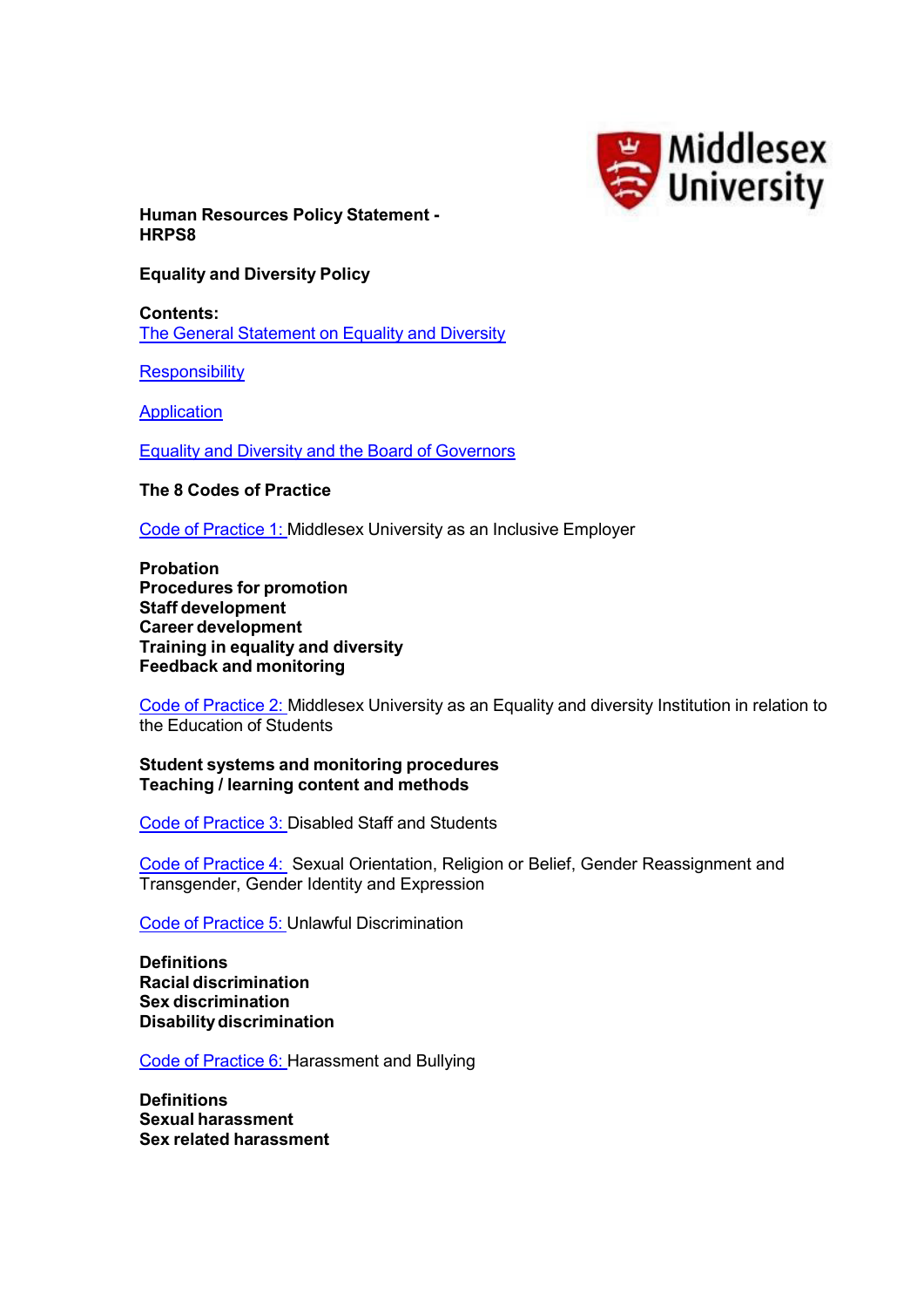

**Human Resources Policy Statement - HRPS8**

## **Equality and Diversity Policy**

**Contents:** The General [Statement](#page-2-0) on Equality and Diversity

**[Responsibility](#page-2-0)** 

**[Application](#page-3-0)** 

Equality and Diversity and the Board of [Governors](#page-4-0)

**The 8 Codes of Practice**

Code of [Practice](#page-5-0) 1: Middlesex University as an Inclusive Employer

**Probation Procedures for promotion Staff development Career development Training in equality and diversity Feedback and monitoring**

Code of [Practice](#page-8-0) 2: Middlesex University as an Equality and diversity Institution in relation to the Education of Students

**Student systems and monitoring procedures Teaching / learning content and methods**

Code of [Practice](#page-10-0) 3: Disabled Staff and Students

Code of [Practice](#page-12-0) 4: Sexual Orientation, Religion or Belief, Gender Reassignment and Transgender, Gender Identity and Expression

Code of [Practice](#page-15-0) 5: Unlawful Discrimination

**Definitions Racial discrimination Sex discrimination Disabilitydiscrimination**

Code of [Practice](#page-18-0) 6: Harassment and Bullying

**Definitions Sexual harassment Sex related harassment**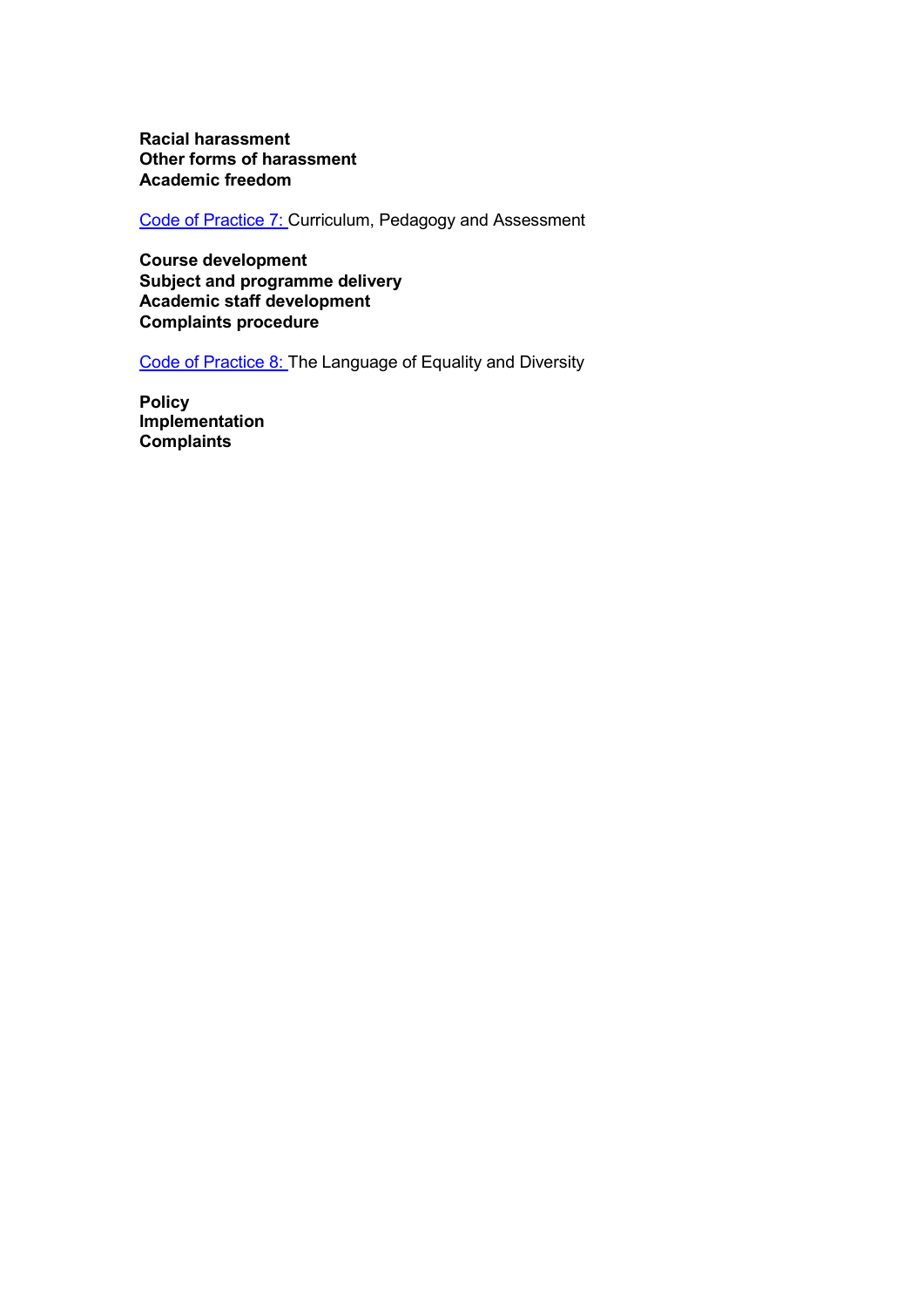**Racial harassment Other forms of harassment Academic freedom**

[Code of Practice 7: C](#page-22-0)urriculum, Pedagogy and Assessment

**Course development Subject and programme delivery Academic staff development Complaints procedure**

[Code of Practice 8: T](#page-24-0)he Language of Equality and Diversity

**Policy Implementation Complaints**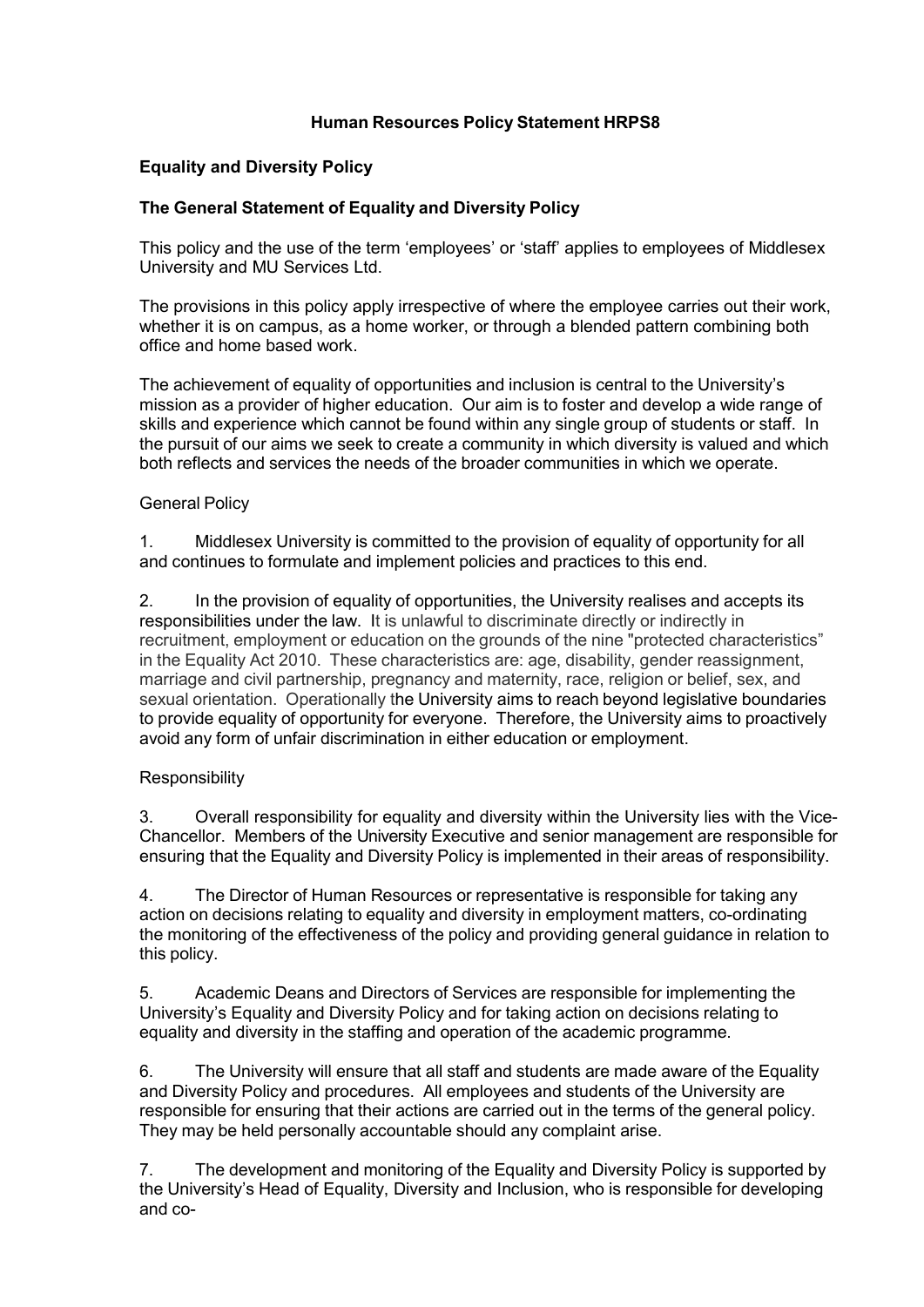# **Human Resources Policy Statement HRPS8**

# <span id="page-2-0"></span>**Equality and Diversity Policy**

# **The General Statement of Equality and Diversity Policy**

This policy and the use of the term 'employees' or 'staff' applies to employees of Middlesex University and MU Services Ltd.

The provisions in this policy apply irrespective of where the employee carries out their work, whether it is on campus, as a home worker, or through a blended pattern combining both office and home based work.

The achievement of equality of opportunities and inclusion is central to the University's mission as a provider of higher education. Our aim is to foster and develop a wide range of skills and experience which cannot be found within any single group of students or staff. In the pursuit of our aims we seek to create a community in which diversity is valued and which both reflects and services the needs of the broader communities in which we operate.

## General Policy

1. Middlesex University is committed to the provision of equality of opportunity for all and continues to formulate and implement policies and practices to this end.

2. In the provision of equality of opportunities, the University realises and accepts its responsibilities under the law. It is unlawful to discriminate directly or indirectly in recruitment, employment or education on the grounds of the nine "protected characteristics" in the Equality Act 2010. These characteristics are: age, disability, gender reassignment, marriage and civil partnership, pregnancy and maternity, race, religion or belief, sex, and sexual orientation. Operationally the University aims to reach beyond legislative boundaries to provide equality of opportunity for everyone. Therefore, the University aims to proactively avoid any form of unfair discrimination in either education or employment.

## Responsibility

3. Overall responsibility for equality and diversity within the University lies with the Vice-Chancellor. Members of the University Executive and senior management are responsible for ensuring that the Equality and Diversity Policy is implemented in their areas of responsibility.

4. The Director of Human Resources or representative is responsible for taking any action on decisions relating to equality and diversity in employment matters, co-ordinating the monitoring of the effectiveness of the policy and providing general guidance in relation to this policy.

5. Academic Deans and Directors of Services are responsible for implementing the University's Equality and Diversity Policy and for taking action on decisions relating to equality and diversity in the staffing and operation of the academic programme.

6. The University will ensure that all staff and students are made aware of the Equality and Diversity Policy and procedures. All employees and students of the University are responsible for ensuring that their actions are carried out in the terms of the general policy. They may be held personally accountable should any complaint arise.

7. The development and monitoring of the Equality and Diversity Policy is supported by the University's Head of Equality, Diversity and Inclusion, who is responsible for developing and co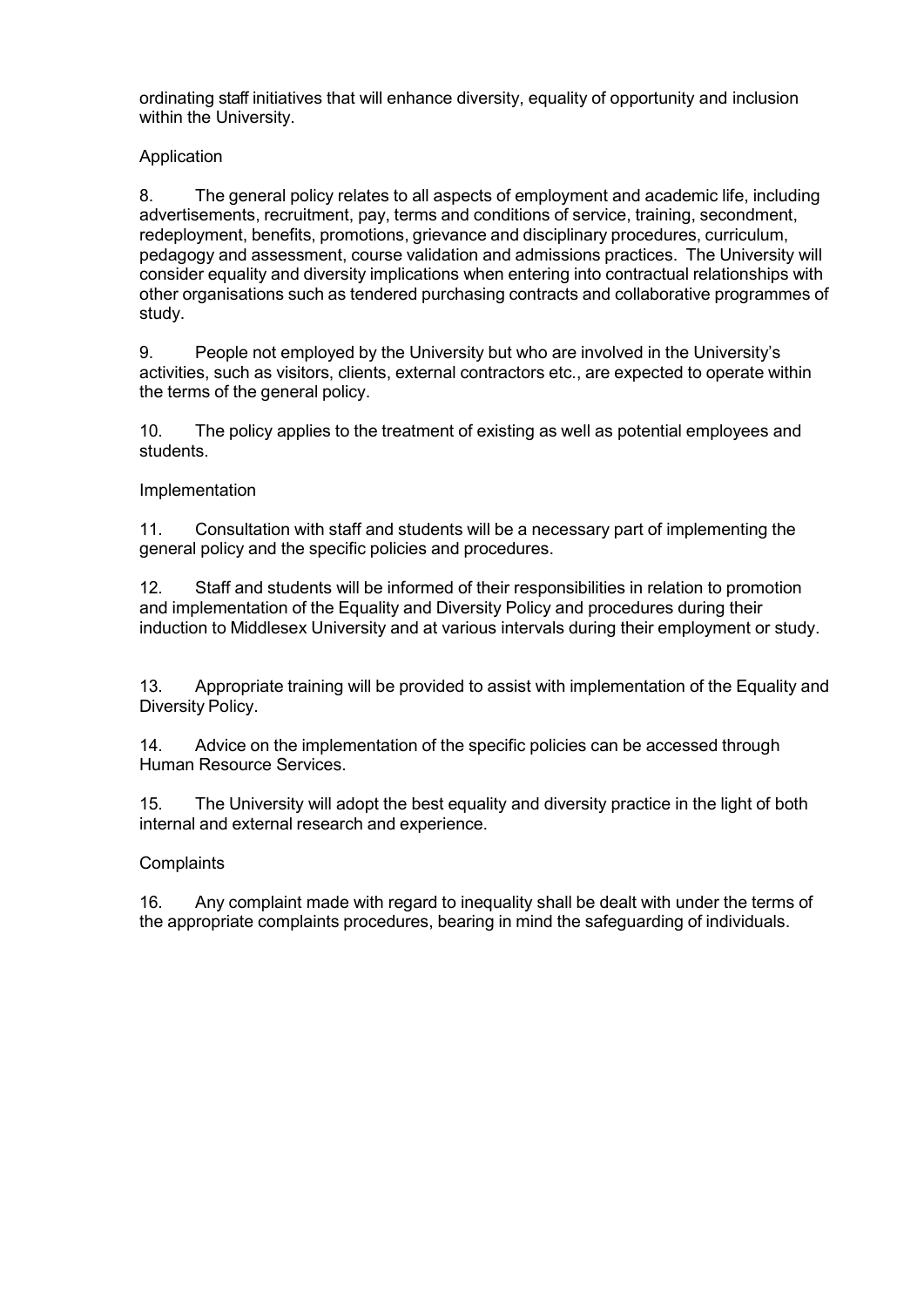<span id="page-3-0"></span>ordinating staff initiatives that will enhance diversity, equality of opportunity and inclusion within the University.

# Application

8. The general policy relates to all aspects of employment and academic life, including advertisements, recruitment, pay, terms and conditions of service, training, secondment, redeployment, benefits, promotions, grievance and disciplinary procedures, curriculum, pedagogy and assessment, course validation and admissions practices. The University will consider equality and diversity implications when entering into contractual relationships with other organisations such as tendered purchasing contracts and collaborative programmes of study.

9. People not employed by the University but who are involved in the University's activities, such as visitors, clients, external contractors etc., are expected to operate within the terms of the general policy.

10. The policy applies to the treatment of existing as well as potential employees and students.

# Implementation

11. Consultation with staff and students will be a necessary part of implementing the general policy and the specific policies and procedures.

12. Staff and students will be informed of their responsibilities in relation to promotion and implementation of the Equality and Diversity Policy and procedures during their induction to Middlesex University and at various intervals during their employment or study.

13. Appropriate training will be provided to assist with implementation of the Equality and Diversity Policy.

14. Advice on the implementation of the specific policies can be accessed through Human Resource Services.

15. The University will adopt the best equality and diversity practice in the light of both internal and external research and experience.

## **Complaints**

16. Any complaint made with regard to inequality shall be dealt with under the terms of the appropriate complaints procedures, bearing in mind the safeguarding of individuals.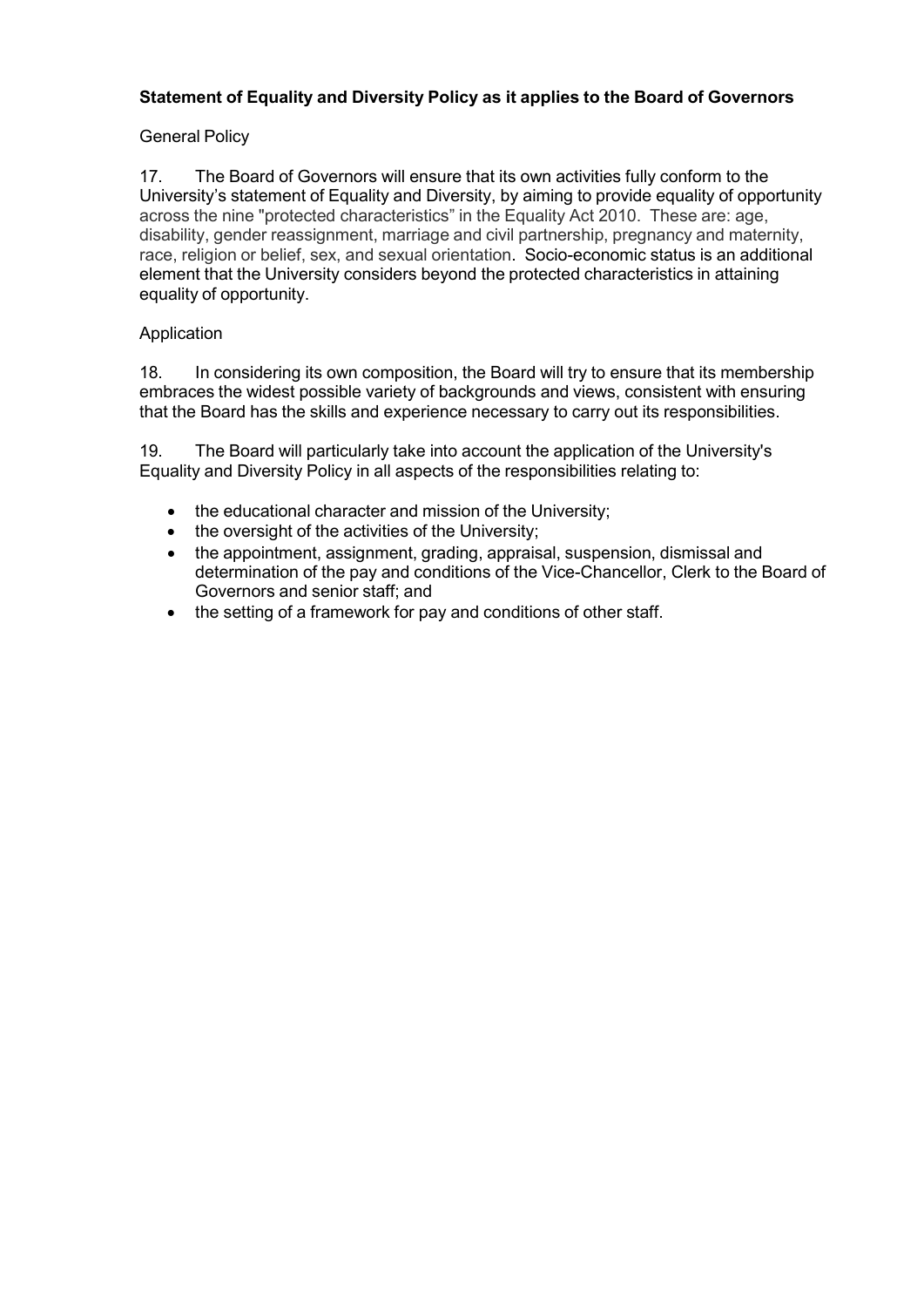# <span id="page-4-0"></span>**Statement of Equality and Diversity Policy as it applies to the Board of Governors**

# General Policy

17. The Board of Governors will ensure that its own activities fully conform to the University's statement of Equality and Diversity, by aiming to provide equality of opportunity across the nine "protected characteristics" in the Equality Act 2010. These are: age, disability, gender reassignment, marriage and civil partnership, pregnancy and maternity, race, religion or belief, sex, and sexual orientation. Socio-economic status is an additional element that the University considers beyond the protected characteristics in attaining equality of opportunity.

# Application

18. In considering its own composition, the Board will try to ensure that its membership embraces the widest possible variety of backgrounds and views, consistent with ensuring that the Board has the skills and experience necessary to carry out its responsibilities.

19. The Board will particularly take into account the application of the University's Equality and Diversity Policy in all aspects of the responsibilities relating to:

- the educational character and mission of the University;
- the oversight of the activities of the University;
- the appointment, assignment, grading, appraisal, suspension, dismissal and determination of the pay and conditions of the Vice-Chancellor, Clerk to the Board of Governors and senior staff; and
- the setting of a framework for pay and conditions of other staff.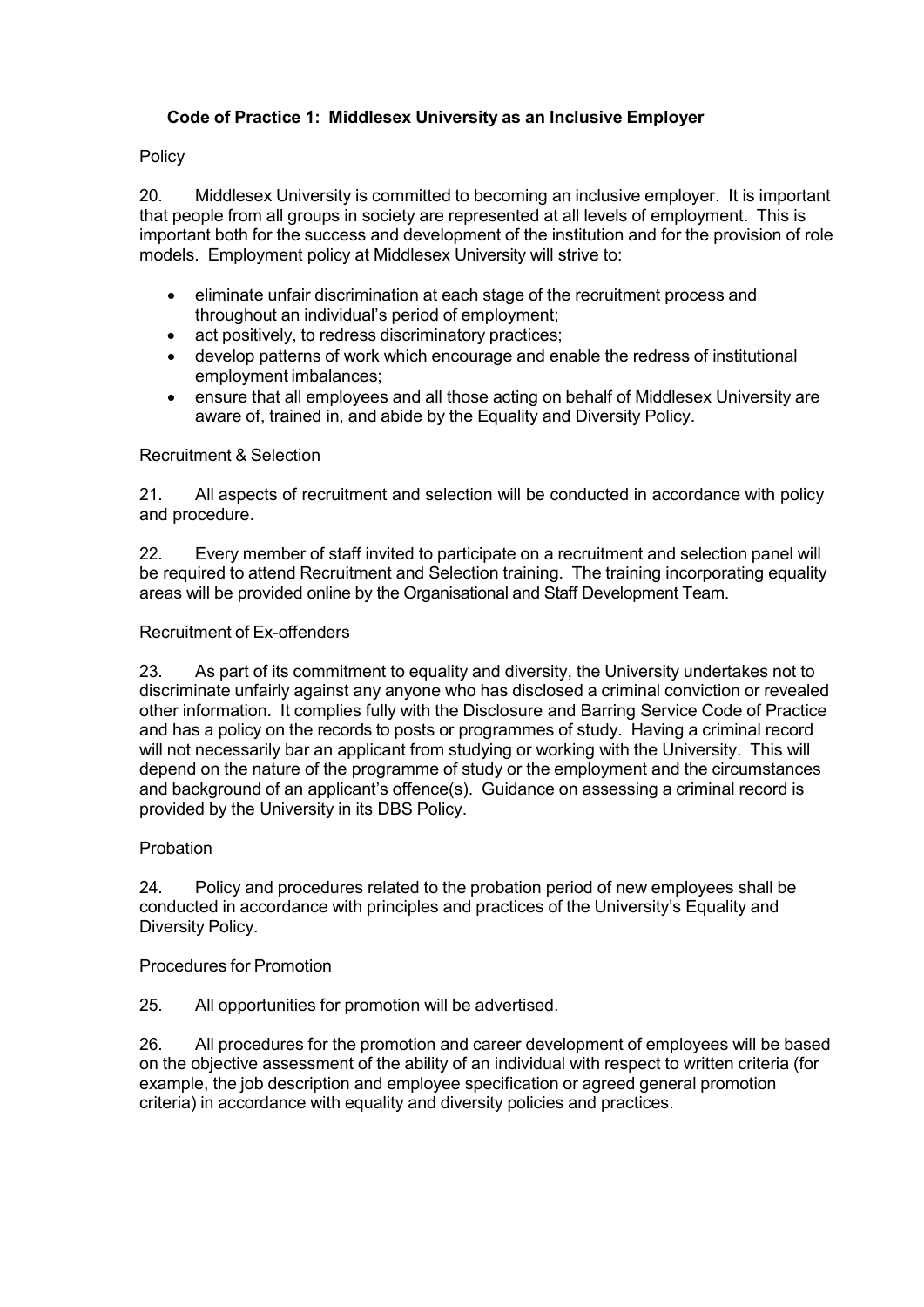# <span id="page-5-0"></span>**Code of Practice 1: Middlesex University as an Inclusive Employer**

# **Policy**

20. Middlesex University is committed to becoming an inclusive employer. It is important that people from all groups in society are represented at all levels of employment. This is important both for the success and development of the institution and for the provision of role models. Employment policy at Middlesex University will strive to:

- eliminate unfair discrimination at each stage of the recruitment process and throughout an individual's period of employment;
- act positively, to redress discriminatory practices;
- develop patterns of work which encourage and enable the redress of institutional employment imbalances;
- ensure that all employees and all those acting on behalf of Middlesex University are aware of, trained in, and abide by the Equality and Diversity Policy.

## Recruitment & Selection

21. All aspects of recruitment and selection will be conducted in accordance with policy and procedure.

22. Every member of staff invited to participate on a recruitment and selection panel will be required to attend Recruitment and Selection training. The training incorporating equality areas will be provided online by the Organisational and Staff Development Team.

## Recruitment of Ex-offenders

23. As part of its commitment to equality and diversity, the University undertakes not to discriminate unfairly against any anyone who has disclosed a criminal conviction or revealed other information. It complies fully with the Disclosure and Barring Service Code of Practice and has a policy on the records to posts or programmes of study. Having a criminal record will not necessarily bar an applicant from studying or working with the University. This will depend on the nature of the programme of study or the employment and the circumstances and background of an applicant's offence(s). Guidance on assessing a criminal record is provided by the University in its DBS Policy.

## **Probation**

24. Policy and procedures related to the probation period of new employees shall be conducted in accordance with principles and practices of the University's Equality and Diversity Policy.

## Procedures for Promotion

25. All opportunities for promotion will be advertised.

26. All procedures for the promotion and career development of employees will be based on the objective assessment of the ability of an individual with respect to written criteria (for example, the job description and employee specification or agreed general promotion criteria) in accordance with equality and diversity policies and practices.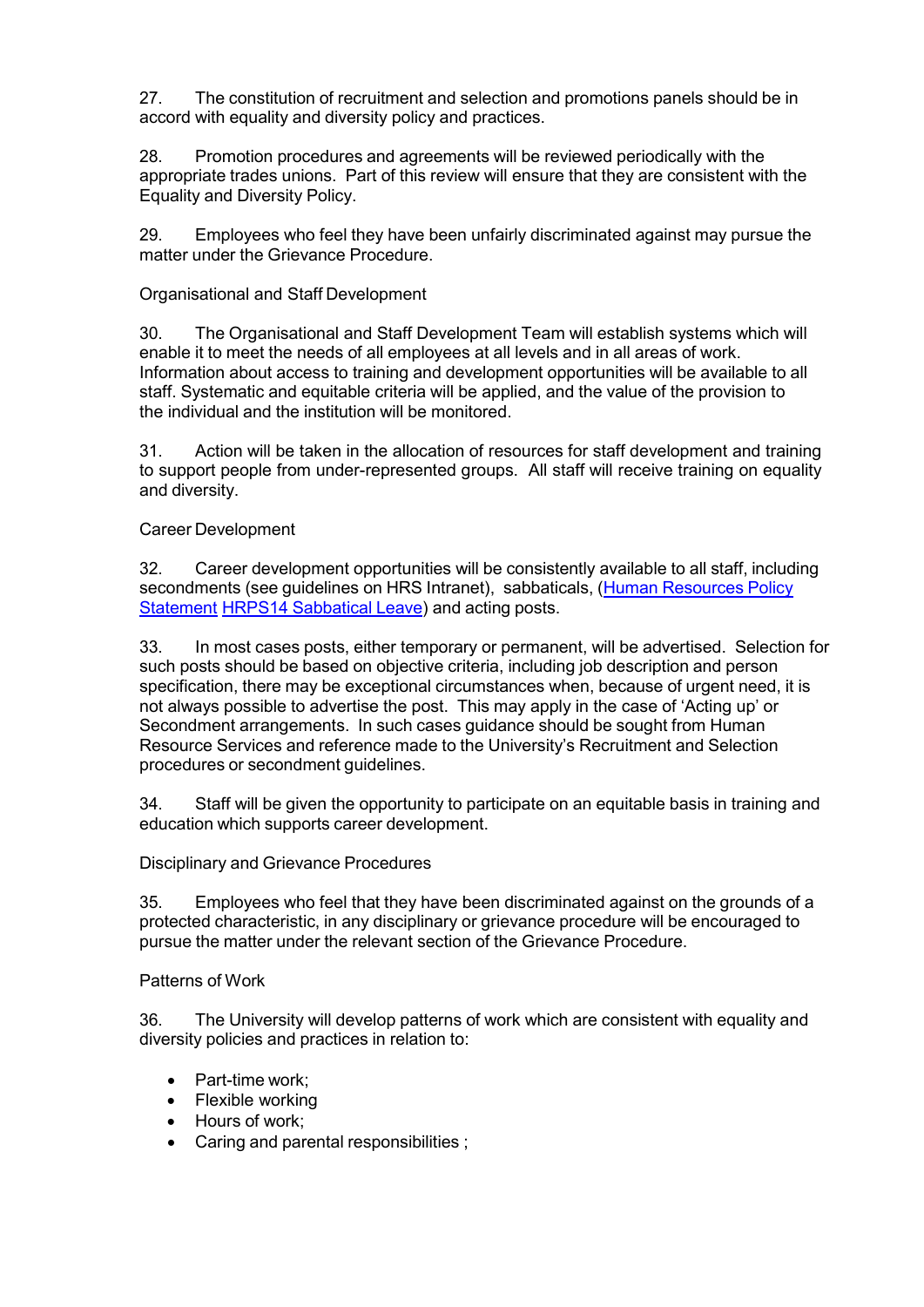27. The constitution of recruitment and selection and promotions panels should be in accord with equality and diversity policy and practices.

28. Promotion procedures and agreements will be reviewed periodically with the appropriate trades unions. Part of this review will ensure that they are consistent with the Equality and Diversity Policy.

29. Employees who feel they have been unfairly discriminated against may pursue the matter under the Grievance Procedure.

## Organisational and Staff Development

30. The Organisational and Staff Development Team will establish systems which will enable it to meet the needs of all employees at all levels and in all areas of work. Information about access to training and development opportunities will be available to all staff. Systematic and equitable criteria will be applied, and the value of the provision to the individual and the institution will be monitored.

31. Action will be taken in the allocation of resources for staff development and training to support people from under-represented groups. All staff will receive training on equality and diversity.

# Career Development

32. Career development opportunities will be consistently available to all staff, including secondments (see guidelines on HRS Intranet), [s](http://www.intra.mdx.ac.uk/services/HR/docs/hrps12.pdf)abbaticals, (Human [Resources](http://www.intra.mdx.ac.uk/services/HR/docs/hrps14.pdf) Policy [Statement](http://www.intra.mdx.ac.uk/services/HR/docs/hrps14.pdf) HRPS14 [Sabbatical](http://www.intra.mdx.ac.uk/services/HR/docs/hrps14.pdf) Leave) and acting posts.

33. In most cases posts, either temporary or permanent, will be advertised. Selection for such posts should be based on objective criteria, including job description and person specification, there may be exceptional circumstances when, because of urgent need, it is not always possible to advertise the post. This may apply in the case of 'Acting up' or Secondment arrangements. In such cases guidance should be sought from Human Resource Services and reference made to the University's Recruitment and Selection procedures or secondment guidelines.

34. Staff will be given the opportunity to participate on an equitable basis in training and education which supports career development.

## Disciplinary and Grievance Procedures

35. Employees who feel that they have been discriminated against on the grounds of a protected characteristic, in any disciplinary or grievance procedure will be encouraged to pursue the matter under the relevant section of the Grievance Procedure.

## Patterns of Work

36. The University will develop patterns of work which are consistent with equality and diversity policies and practices in relation to:

- Part-time work:
- Flexible working
- Hours of work;
- Caring and parental responsibilities [;](http://www.intra.mdx.ac.uk/services/HR/docs/hrps11.pdf)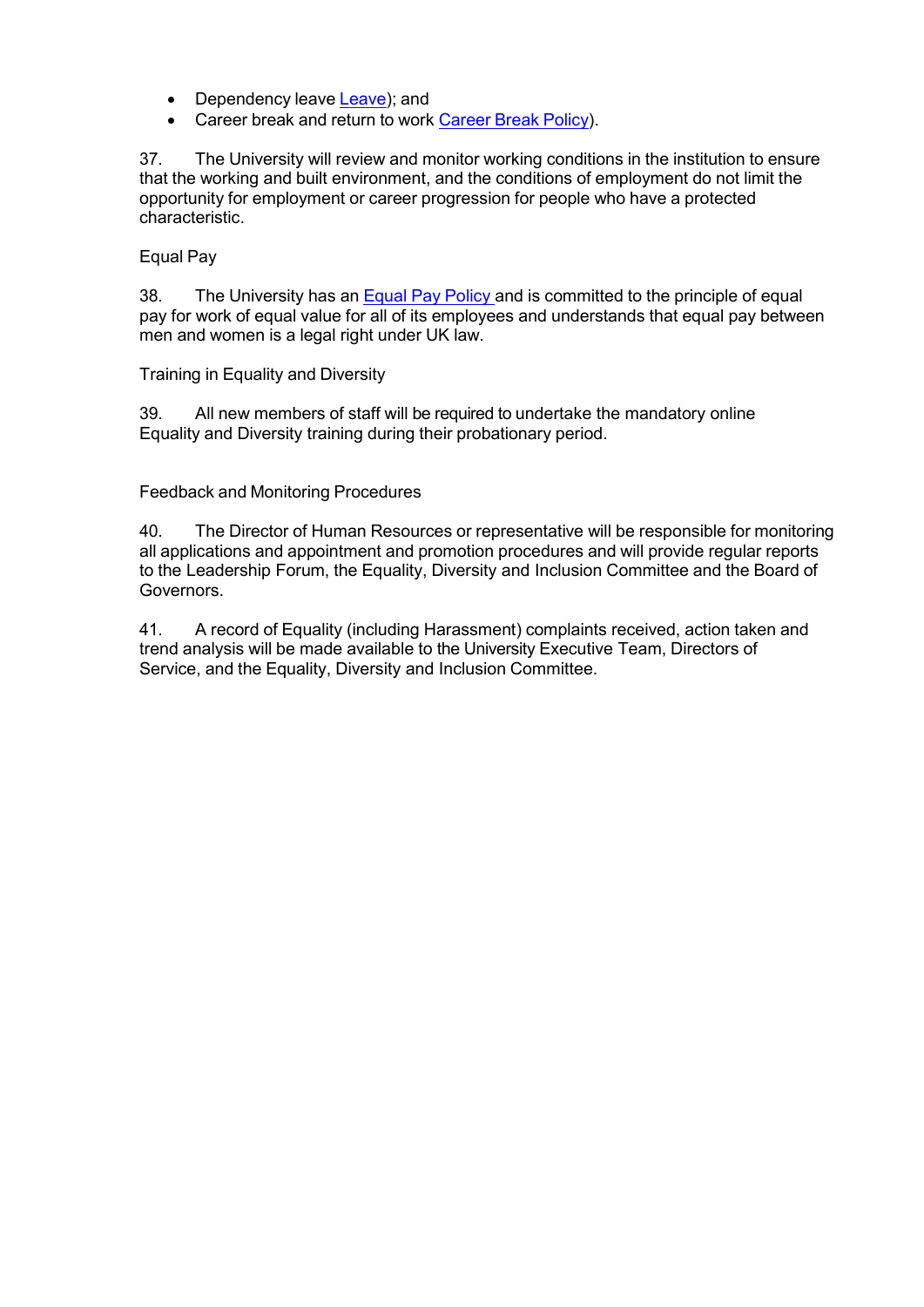- Dependency leave [Leave\);](http://www.intra.mdx.ac.uk/services/HR/docs/hrps16.pdf) and
- Career break and return to work Career Break [Policy\).](http://www.intra.mdx.ac.uk/services/HR/docs/hrps17.pdf)

37. The University will review and monitor working conditions in the institution to ensure that the working and built environment, and the conditions of employment do not limit the opportunity for employment or career progression for people who have a protected characteristic.

#### Equal Pay

38. The University has an **Equal Pay [Policy](https://www.intra.mdx.ac.uk/_media/_intranet/document-library/h/HRPS8-1-DECEMBER-2018-.docx) and is committed to the principle of equal** pay for work of equal value for all of its employees and understands that equal pay between men and women is a legal right under UK law.

Training in Equality and Diversity

39. All new members of staff will be required to undertake the mandatory online Equality and Diversity training during their probationary period.

Feedback and Monitoring Procedures

40. The Director of Human Resources or representative will be responsible for monitoring all applications and appointment and promotion procedures and will provide regular reports to the Leadership Forum, the Equality, Diversity and Inclusion Committee and the Board of Governors.

41. A record of Equality (including Harassment) complaints received, action taken and trend analysis will be made available to the University Executive Team, Directors of Service, and the Equality, Diversity and Inclusion Committee.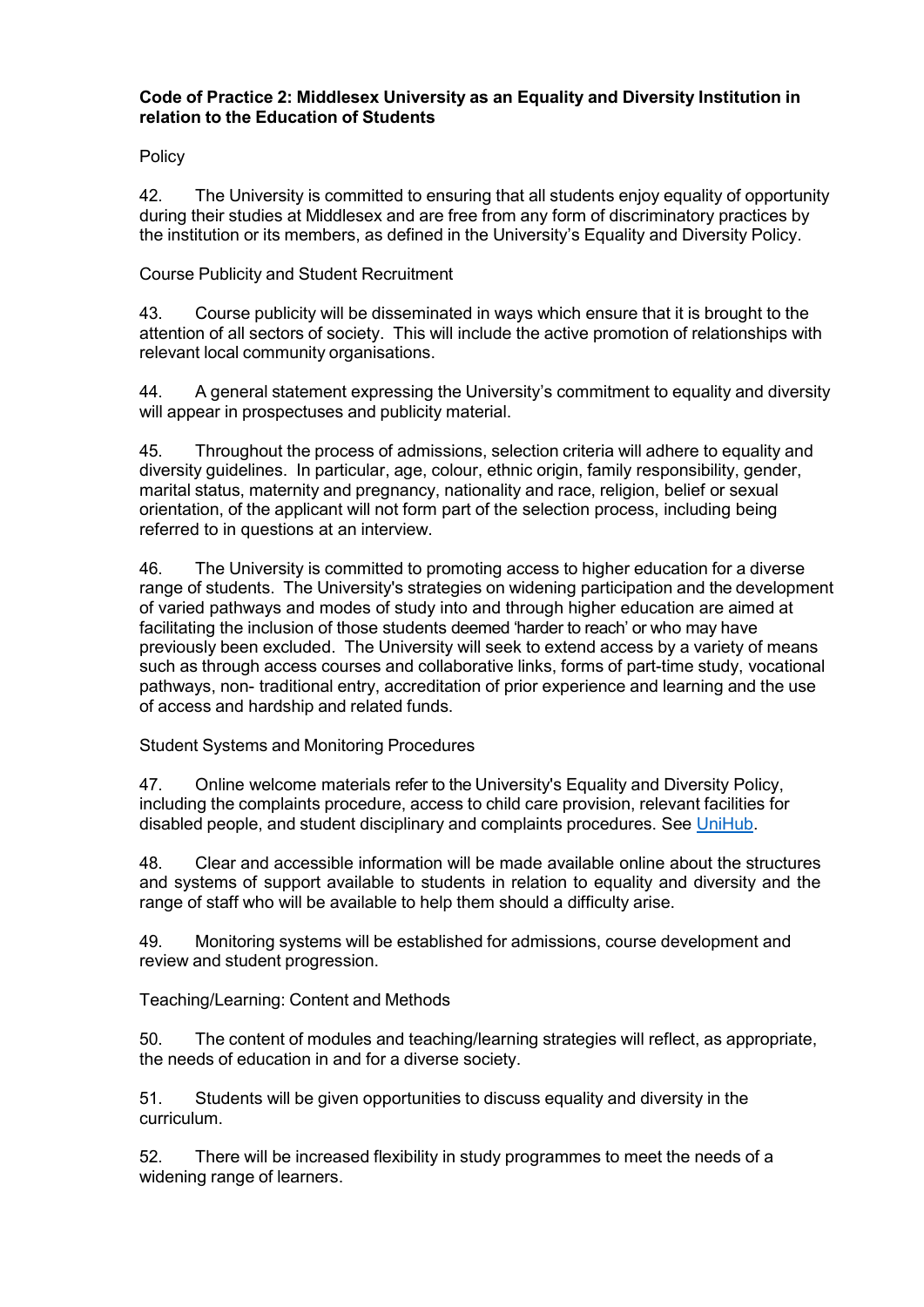## <span id="page-8-0"></span>**Code of Practice 2: Middlesex University as an Equality and Diversity Institution in relation to the Education of Students**

Policy

42. The University is committed to ensuring that all students enjoy equality of opportunity during their studies at Middlesex and are free from any form of discriminatory practices by the institution or its members, as defined in the University's Equality and Diversity Policy.

# Course Publicity and Student Recruitment

43. Course publicity will be disseminated in ways which ensure that it is brought to the attention of all sectors of society. This will include the active promotion of relationships with relevant local community organisations.

44. A general statement expressing the University's commitment to equality and diversity will appear in prospectuses and publicity material.

45. Throughout the process of admissions, selection criteria will adhere to equality and diversity guidelines. In particular, age, colour, ethnic origin, family responsibility, gender, marital status, maternity and pregnancy, nationality and race, religion, belief or sexual orientation, of the applicant will not form part of the selection process, including being referred to in questions at an interview.

46. The University is committed to promoting access to higher education for a diverse range of students. The University's strategies on widening participation and the development of varied pathways and modes of study into and through higher education are aimed at facilitating the inclusion of those students deemed 'harder to reach' or who may have previously been excluded. The University will seek to extend access by a variety of means such as through access courses and collaborative links, forms of part-time study, vocational pathways, non- traditional entry, accreditation of prior experience and learning and the use of access and hardship and related funds.

## Student Systems and Monitoring Procedures

47. Online welcome materials refer to the University's Equality and Diversity Policy, including the complaints procedure, access to child care provision, relevant facilities for disabled people, and student disciplinary and complaints procedures. See [UniHub.](https://eur02.safelinks.protection.outlook.com/?url=https%3A%2F%2Funihub.mdx.ac.uk%2Fstudent-life%2Fwelcome&data=02%7C01%7CJ.Soper%40mdx.ac.uk%7Cb2c60a3c96264f952a7208d7b142ec6a%7C38e37b88a3a148cf9f056537427fed24%7C0%7C0%7C637172773309294325&sdata=2KFisEwi%2FCSpXZCV7AUEaT9qwp3bHKV4UdeY3p%2FGSOo%3D&reserved=0)

48. Clear and accessible information will be made available online about the structures and systems of support available to students in relation to equality and diversity and the range of staff who will be available to help them should a difficulty arise.

49. Monitoring systems will be established for admissions, course development and review and student progression.

Teaching/Learning: Content and Methods

50. The content of modules and teaching/learning strategies will reflect, as appropriate, the needs of education in and for a diverse society.

51. Students will be given opportunities to discuss equality and diversity in the curriculum.

52. There will be increased flexibility in study programmes to meet the needs of a widening range of learners.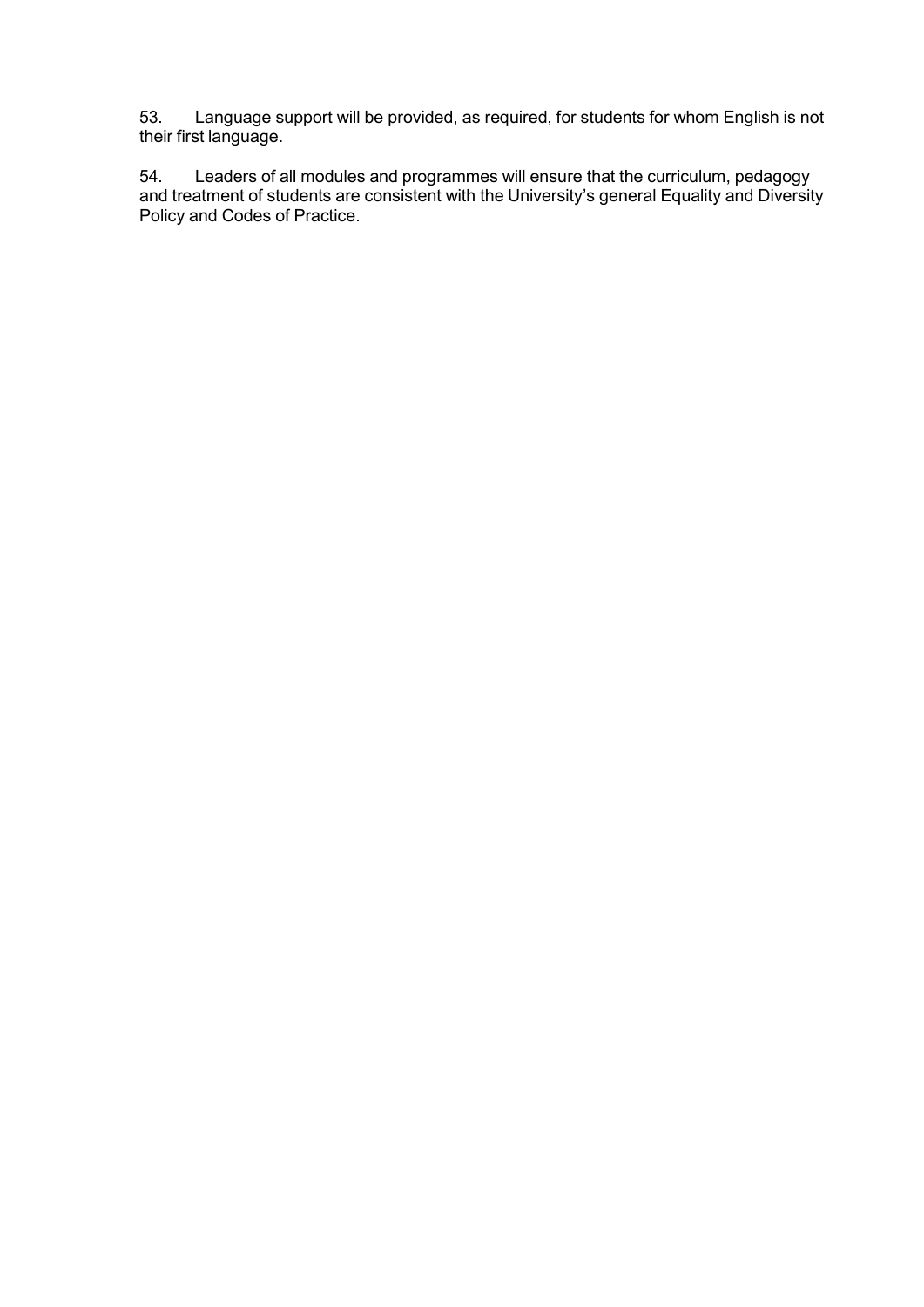53. Language support will be provided, as required, for students for whom English is not their first language.

54. Leaders of all modules and programmes will ensure that the curriculum, pedagogy and treatment of students are consistent with the University's general Equality and Diversity Policy and Codes of Practice.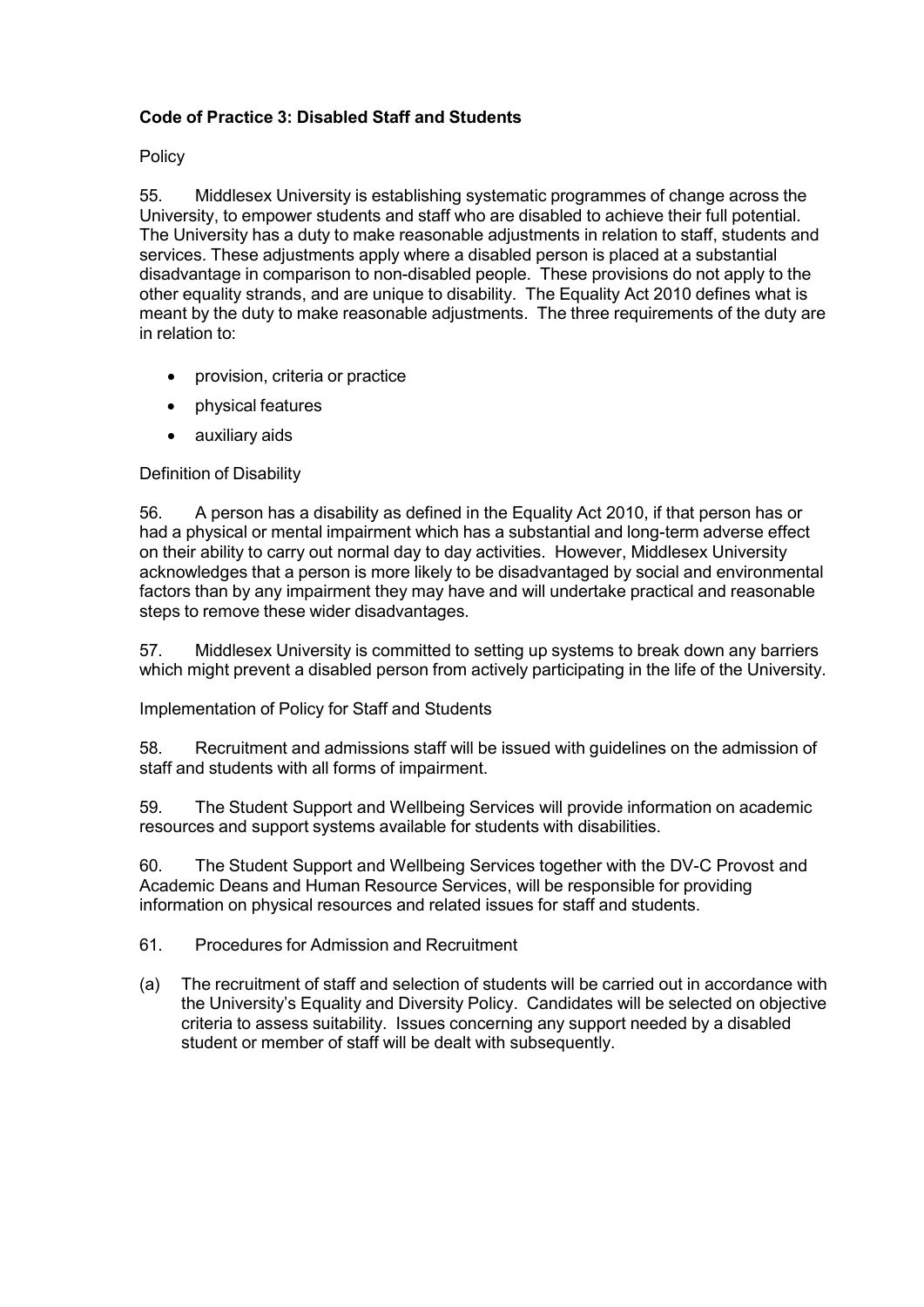# <span id="page-10-0"></span>**Code of Practice 3: Disabled Staff and Students**

## **Policy**

55. Middlesex University is establishing systematic programmes of change across the University, to empower students and staff who are disabled to achieve their full potential. The University has a duty to make reasonable adjustments in relation to staff, students and services. These adjustments apply where a disabled person is placed at a substantial disadvantage in comparison to non-disabled people. These provisions do not apply to the other equality strands, and are unique to disability. The Equality Act 2010 defines what is meant by the duty to make reasonable adjustments. The three requirements of the duty are in relation to:

- provision, criteria or practice
- physical features
- auxiliary aids

# Definition of Disability

56. A person has a disability as defined in the Equality Act 2010, if that person has or had a physical or mental impairment which has a substantial and long-term adverse effect on their ability to carry out normal day to day activities. However, Middlesex University acknowledges that a person is more likely to be disadvantaged by social and environmental factors than by any impairment they may have and will undertake practical and reasonable steps to remove these wider disadvantages.

57. Middlesex University is committed to setting up systems to break down any barriers which might prevent a disabled person from actively participating in the life of the University.

Implementation of Policy for Staff and Students

58. Recruitment and admissions staff will be issued with guidelines on the admission of staff and students with all forms of impairment.

59. The Student Support and Wellbeing Services will provide information on academic resources and support systems available for students with disabilities.

60. The Student Support and Wellbeing Services together with the DV-C Provost and Academic Deans and Human Resource Services, will be responsible for providing information on physical resources and related issues for staff and students.

61. Procedures for Admission and Recruitment

(a) The recruitment of staff and selection of students will be carried out in accordance with the University's Equality and Diversity Policy. Candidates will be selected on objective criteria to assess suitability. Issues concerning any support needed by a disabled student or member of staff will be dealt with subsequently.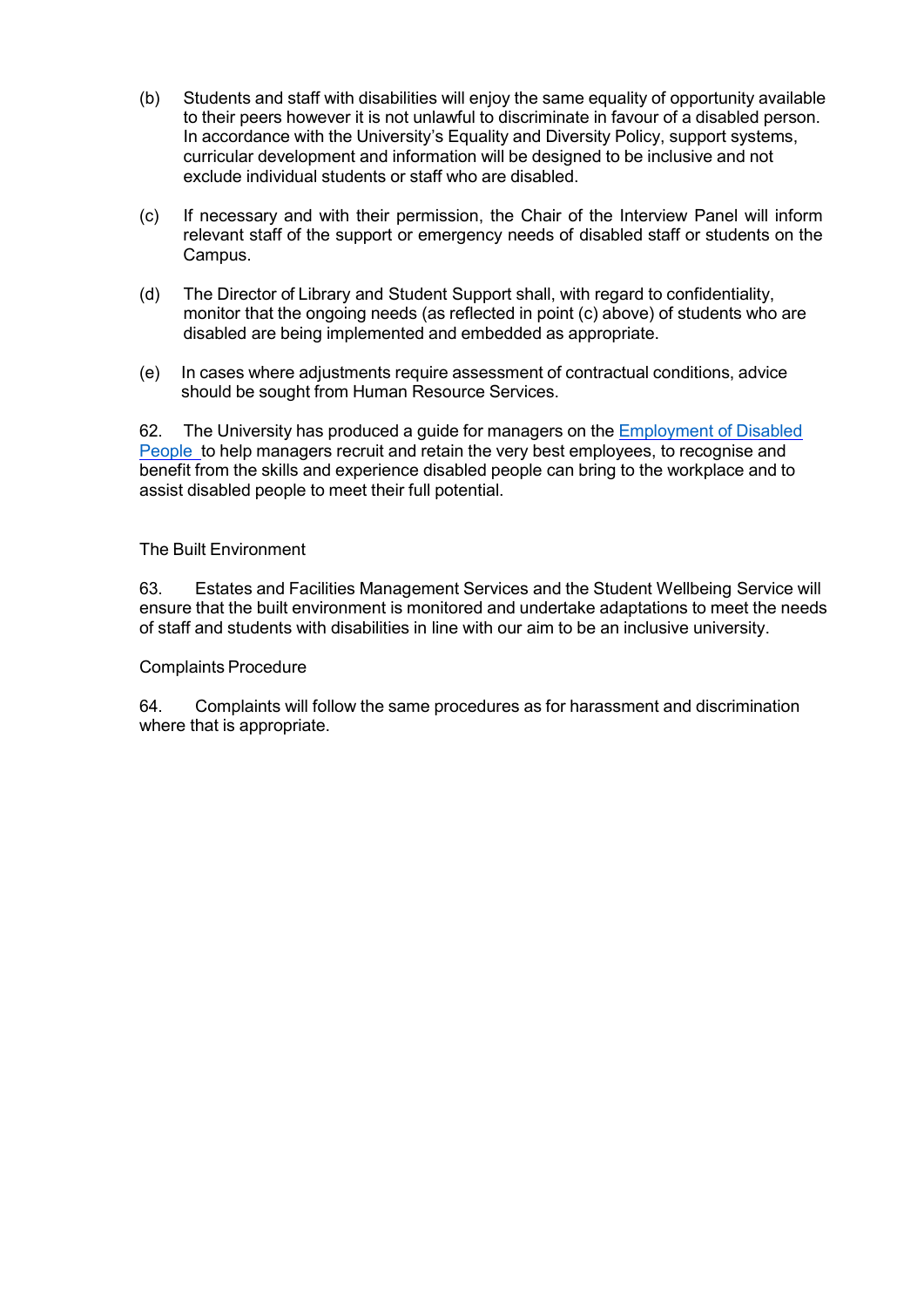- (b) Students and staff with disabilities will enjoy the same equality of opportunity available to their peers however it is not unlawful to discriminate in favour of a disabled person. In accordance with the University's Equality and Diversity Policy, support systems, curricular development and information will be designed to be inclusive and not exclude individual students or staff who are disabled.
- (c) If necessary and with their permission, the Chair of the Interview Panel will inform relevant staff of the support or emergency needs of disabled staff or students on the Campus.
- (d) The Director of Library and Student Support shall, with regard to confidentiality, monitor that the ongoing needs (as reflected in point (c) above) of students who are disabled are being implemented and embedded as appropriate.
- (e) In cases where adjustments require assessment of contractual conditions, advice should be sought from Human Resource Services.

62. The University has produced a guide for managers on the [Employment](https://www.intra.mdx.ac.uk/_media/_intranet/document-library/h/HR_EmployingDisabledPeople.doc) of Disabled [People](https://www.intra.mdx.ac.uk/_media/_intranet/document-library/h/HR_EmployingDisabledPeople.doc) to help managers recruit and retain the very best employees, to recognise and benefit from the skills and experience disabled people can bring to the workplace and to assist disabled people to meet their full potential.

The Built Environment

63. Estates and Facilities Management Services and the Student Wellbeing Service will ensure that the built environment is monitored and undertake adaptations to meet the needs of staff and students with disabilities in line with our aim to be an inclusive university.

#### Complaints Procedure

64. Complaints will follow the same procedures as for harassment and discrimination where that is appropriate.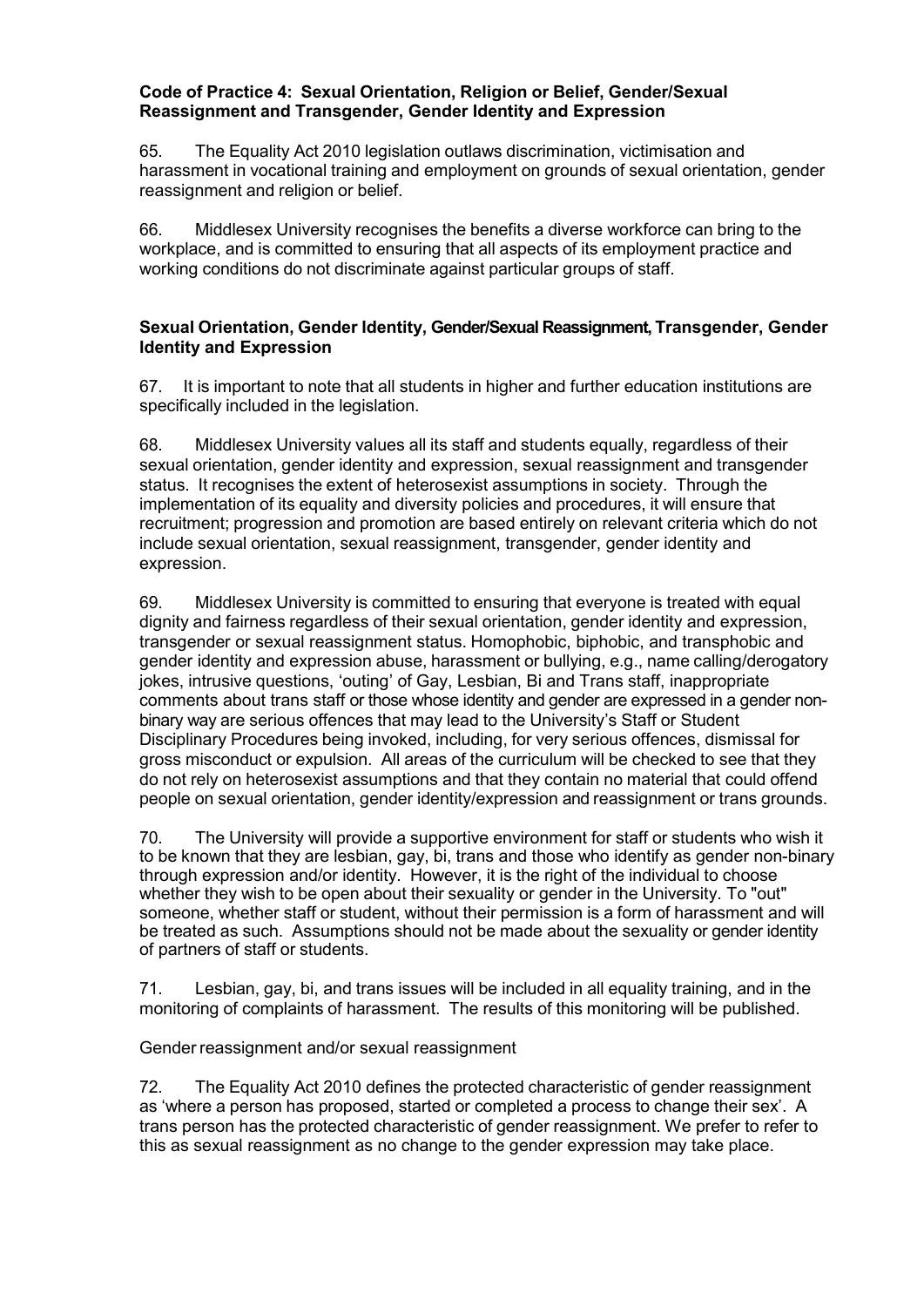#### <span id="page-12-0"></span>**Code of Practice 4: Sexual Orientation, Religion or Belief, Gender/Sexual Reassignment and Transgender, Gender Identity and Expression**

65. The Equality Act 2010 legislation outlaws discrimination, victimisation and harassment in vocational training and employment on grounds of sexual orientation, gender reassignment and religion or belief.

66. Middlesex University recognises the benefits a diverse workforce can bring to the workplace, and is committed to ensuring that all aspects of its employment practice and working conditions do not discriminate against particular groups of staff.

## **Sexual Orientation, Gender Identity, Gender/Sexual Reassignment, Transgender, Gender Identity and Expression**

67. It is important to note that all students in higher and further education institutions are specifically included in the legislation.

68. Middlesex University values all its staff and students equally, regardless of their sexual orientation, gender identity and expression, sexual reassignment and transgender status. It recognises the extent of heterosexist assumptions in society. Through the implementation of its equality and diversity policies and procedures, it will ensure that recruitment; progression and promotion are based entirely on relevant criteria which do not include sexual orientation, sexual reassignment, transgender, gender identity and expression.

69. Middlesex University is committed to ensuring that everyone is treated with equal dignity and fairness regardless of their sexual orientation, gender identity and expression, transgender or sexual reassignment status. Homophobic, biphobic, and transphobic and gender identity and expression abuse, harassment or bullying, e.g., name calling/derogatory jokes, intrusive questions, 'outing' of Gay, Lesbian, Bi and Trans staff, inappropriate comments about trans staff or those whose identity and gender are expressed in a gender nonbinary way are serious offences that may lead to the University's Staff or Student Disciplinary Procedures being invoked, including, for very serious offences, dismissal for gross misconduct or expulsion. All areas of the curriculum will be checked to see that they do not rely on heterosexist assumptions and that they contain no material that could offend people on sexual orientation, gender identity/expression and reassignment or trans grounds.

70. The University will provide a supportive environment for staff or students who wish it to be known that they are lesbian, gay, bi, trans and those who identify as gender non-binary through expression and/or identity. However, it is the right of the individual to choose whether they wish to be open about their sexuality or gender in the University. To "out" someone, whether staff or student, without their permission is a form of harassment and will be treated as such. Assumptions should not be made about the sexuality or gender identity of partners of staff or students.

71. Lesbian, gay, bi, and trans issues will be included in all equality training, and in the monitoring of complaints of harassment. The results of this monitoring will be published.

Gender reassignment and/or sexual reassignment

72. The Equality Act 2010 defines the protected characteristic of gender reassignment as 'where a person has proposed, started or completed a process to change their sex'. A trans person has the protected characteristic of gender reassignment. We prefer to refer to this as sexual reassignment as no change to the gender expression may take place.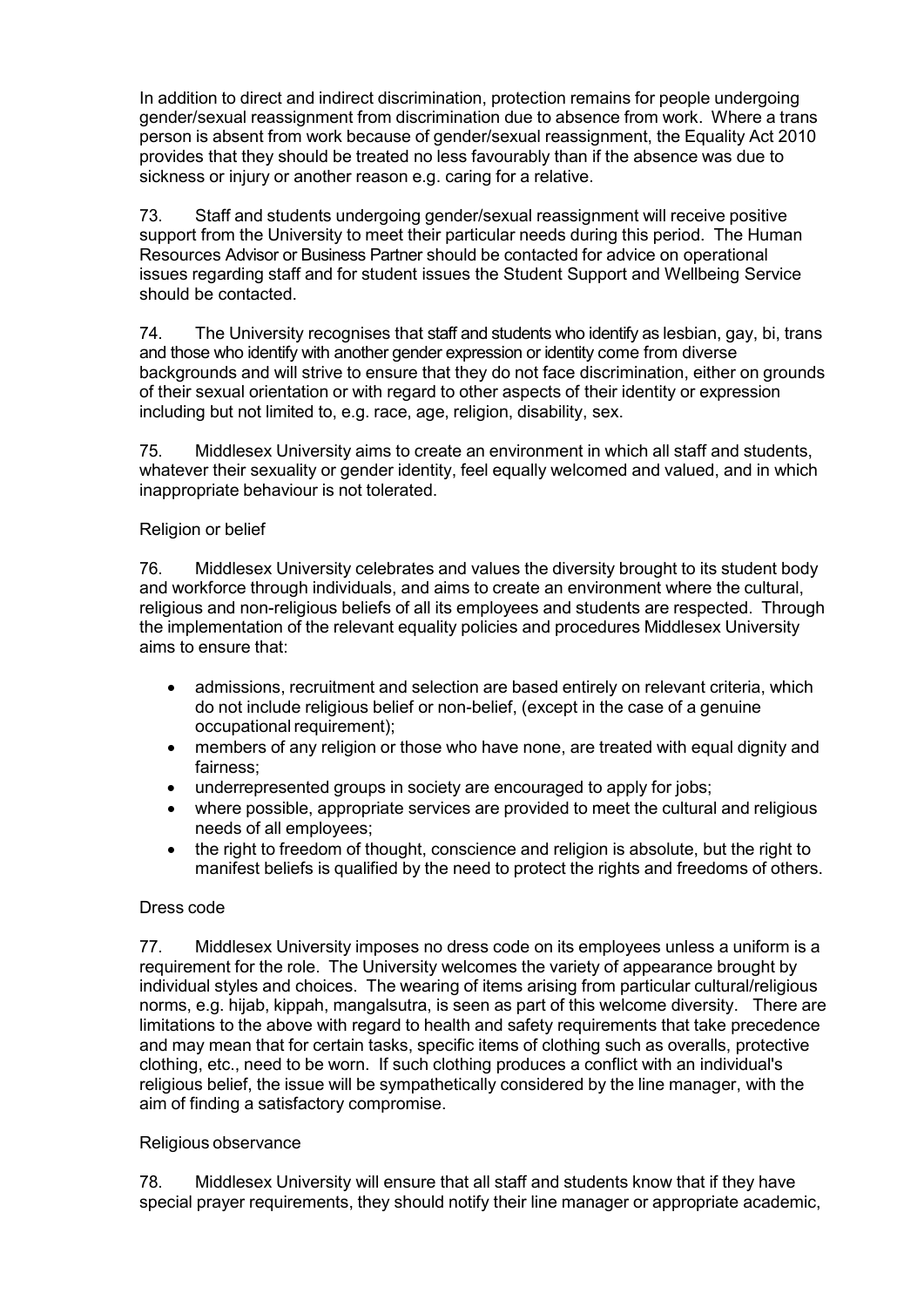In addition to direct and indirect discrimination, protection remains for people undergoing gender/sexual reassignment from discrimination due to absence from work. Where a trans person is absent from work because of gender/sexual reassignment, the Equality Act 2010 provides that they should be treated no less favourably than if the absence was due to sickness or injury or another reason e.g. caring for a relative.

73. Staff and students undergoing gender/sexual reassignment will receive positive support from the University to meet their particular needs during this period. The Human Resources Advisor or Business Partner should be contacted for advice on operational issues regarding staff and for student issues the Student Support and Wellbeing Service should be contacted.

74. The University recognises that staff and students who identify as lesbian, gay, bi, trans and those who identify with another gender expression or identity come from diverse backgrounds and will strive to ensure that they do not face discrimination, either on grounds of their sexual orientation or with regard to other aspects of their identity or expression including but not limited to, e.g. race, age, religion, disability, sex.

75. Middlesex University aims to create an environment in which all staff and students, whatever their sexuality or gender identity, feel equally welcomed and valued, and in which inappropriate behaviour is not tolerated.

# Religion or belief

76. Middlesex University celebrates and values the diversity brought to its student body and workforce through individuals, and aims to create an environment where the cultural, religious and non-religious beliefs of all its employees and students are respected. Through the implementation of the relevant equality policies and procedures Middlesex University aims to ensure that:

- admissions, recruitment and selection are based entirely on relevant criteria, which do not include religious belief or non-belief, (except in the case of a genuine occupational requirement);
- members of any religion or those who have none, are treated with equal dignity and fairness;
- underrepresented groups in society are encouraged to apply for jobs;
- where possible, appropriate services are provided to meet the cultural and religious needs of all employees;
- the right to freedom of thought, conscience and religion is absolute, but the right to manifest beliefs is qualified by the need to protect the rights and freedoms of others.

## Dress code

77. Middlesex University imposes no dress code on its employees unless a uniform is a requirement for the role. The University welcomes the variety of appearance brought by individual styles and choices. The wearing of items arising from particular cultural/religious norms, e.g. hijab, kippah, mangalsutra, is seen as part of this welcome diversity. There are limitations to the above with regard to health and safety requirements that take precedence and may mean that for certain tasks, specific items of clothing such as overalls, protective clothing, etc., need to be worn. If such clothing produces a conflict with an individual's religious belief, the issue will be sympathetically considered by the line manager, with the aim of finding a satisfactory compromise.

## Religious observance

78. Middlesex University will ensure that all staff and students know that if they have special prayer requirements, they should notify their line manager or appropriate academic,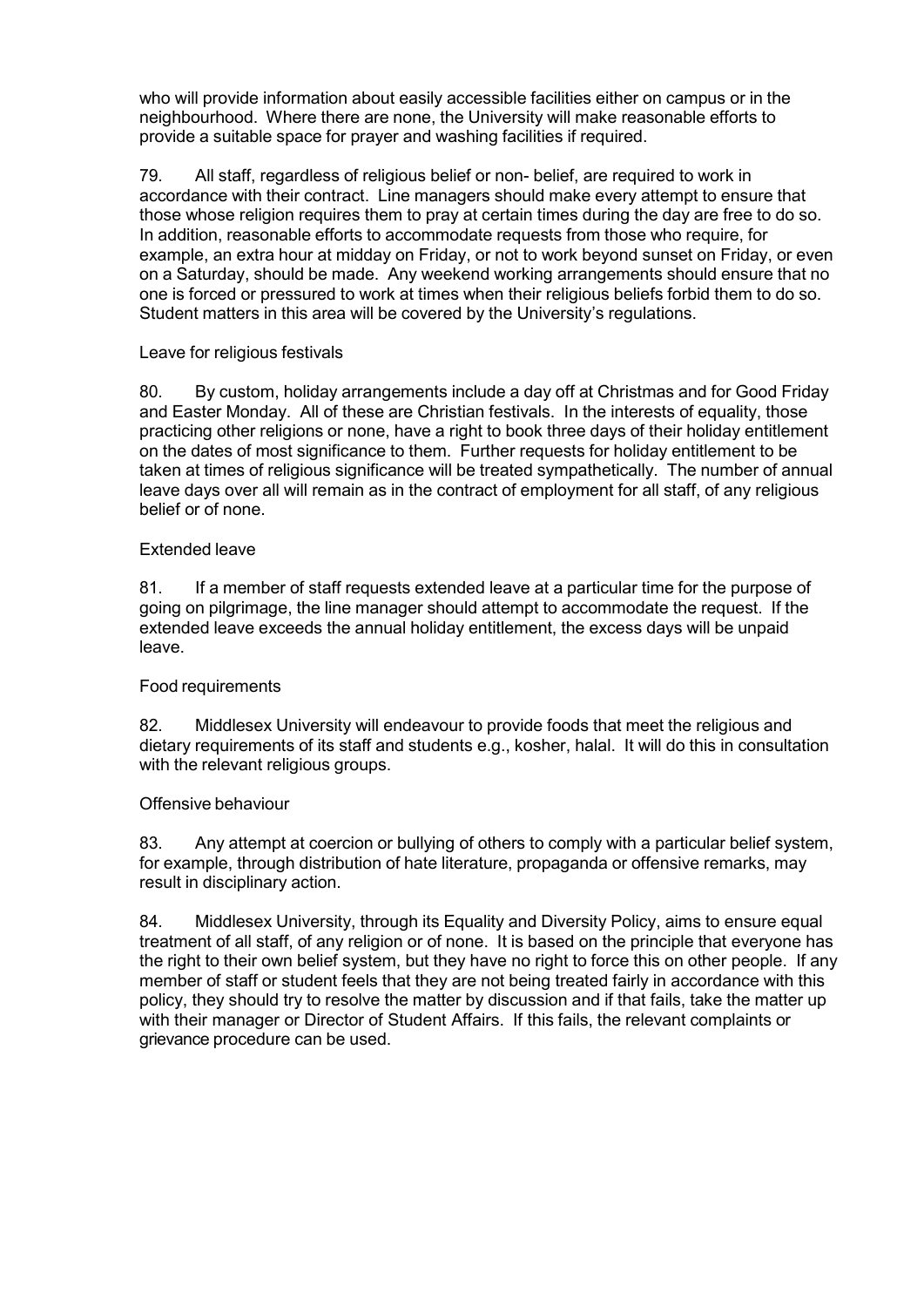who will provide information about easily accessible facilities either on campus or in the neighbourhood. Where there are none, the University will make reasonable efforts to provide a suitable space for prayer and washing facilities if required.

79. All staff, regardless of religious belief or non- belief, are required to work in accordance with their contract. Line managers should make every attempt to ensure that those whose religion requires them to pray at certain times during the day are free to do so. In addition, reasonable efforts to accommodate requests from those who require, for example, an extra hour at midday on Friday, or not to work beyond sunset on Friday, or even on a Saturday, should be made. Any weekend working arrangements should ensure that no one is forced or pressured to work at times when their religious beliefs forbid them to do so. Student matters in this area will be covered by the University's regulations.

# Leave for religious festivals

80. By custom, holiday arrangements include a day off at Christmas and for Good Friday and Easter Monday. All of these are Christian festivals. In the interests of equality, those practicing other religions or none, have a right to book three days of their holiday entitlement on the dates of most significance to them. Further requests for holiday entitlement to be taken at times of religious significance will be treated sympathetically. The number of annual leave days over all will remain as in the contract of employment for all staff, of any religious belief or of none.

## Extended leave

81. If a member of staff requests extended leave at a particular time for the purpose of going on pilgrimage, the line manager should attempt to accommodate the request. If the extended leave exceeds the annual holiday entitlement, the excess days will be unpaid leave.

## Food requirements

82. Middlesex University will endeavour to provide foods that meet the religious and dietary requirements of its staff and students e.g., kosher, halal. It will do this in consultation with the relevant religious groups.

## Offensive behaviour

83. Any attempt at coercion or bullying of others to comply with a particular belief system, for example, through distribution of hate literature, propaganda or offensive remarks, may result in disciplinary action.

84. Middlesex University, through its Equality and Diversity Policy, aims to ensure equal treatment of all staff, of any religion or of none. It is based on the principle that everyone has the right to their own belief system, but they have no right to force this on other people. If any member of staff or student feels that they are not being treated fairly in accordance with this policy, they should try to resolve the matter by discussion and if that fails, take the matter up with their manager or Director of Student Affairs. If this fails, the relevant complaints or grievance procedure can be used.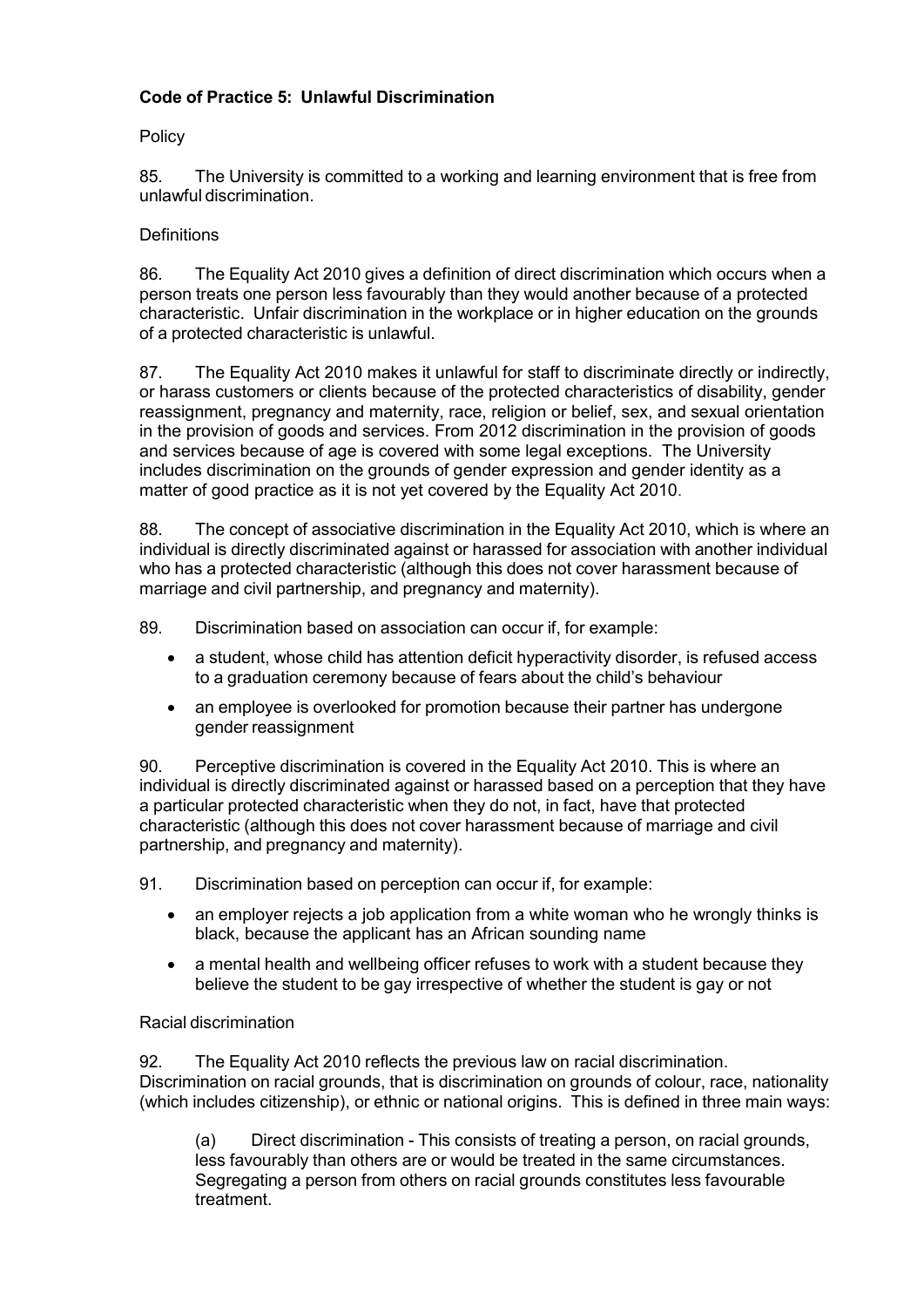# <span id="page-15-0"></span>**Code of Practice 5: Unlawful Discrimination**

## **Policy**

85. The University is committed to a working and learning environment that is free from unlawful discrimination.

# **Definitions**

86. The Equality Act 2010 gives a definition of direct discrimination which occurs when a person treats one person less favourably than they would another because of a protected characteristic. Unfair discrimination in the workplace or in higher education on the grounds of a protected characteristic is unlawful.

87. The Equality Act 2010 makes it unlawful for staff to discriminate directly or indirectly, or harass customers or clients because of the protected characteristics of disability, gender reassignment, pregnancy and maternity, race, religion or belief, sex, and sexual orientation in the provision of goods and services. From 2012 discrimination in the provision of goods and services because of age is covered with some legal exceptions. The University includes discrimination on the grounds of gender expression and gender identity as a matter of good practice as it is not yet covered by the Equality Act 2010.

88. The concept of associative discrimination in the Equality Act 2010, which is where an individual is directly discriminated against or harassed for association with another individual who has a protected characteristic (although this does not cover harassment because of marriage and civil partnership, and pregnancy and maternity).

89. Discrimination based on association can occur if, for example:

- a student, whose child has attention deficit hyperactivity disorder, is refused access to a graduation ceremony because of fears about the child's behaviour
- an employee is overlooked for promotion because their partner has undergone gender reassignment

90. Perceptive discrimination is covered in the Equality Act 2010. This is where an individual is directly discriminated against or harassed based on a perception that they have a particular protected characteristic when they do not, in fact, have that protected characteristic (although this does not cover harassment because of marriage and civil partnership, and pregnancy and maternity).

91. Discrimination based on perception can occur if, for example:

- an employer rejects a job application from a white woman who he wrongly thinks is black, because the applicant has an African sounding name
- a mental health and wellbeing officer refuses to work with a student because they believe the student to be gay irrespective of whether the student is gay or not

## Racial discrimination

92. The Equality Act 2010 reflects the previous law on racial discrimination. Discrimination on racial grounds, that is discrimination on grounds of colour, race, nationality (which includes citizenship), or ethnic or national origins. This is defined in three main ways:

(a) Direct discrimination - This consists of treating a person, on racial grounds, less favourably than others are or would be treated in the same circumstances. Segregating a person from others on racial grounds constitutes less favourable treatment.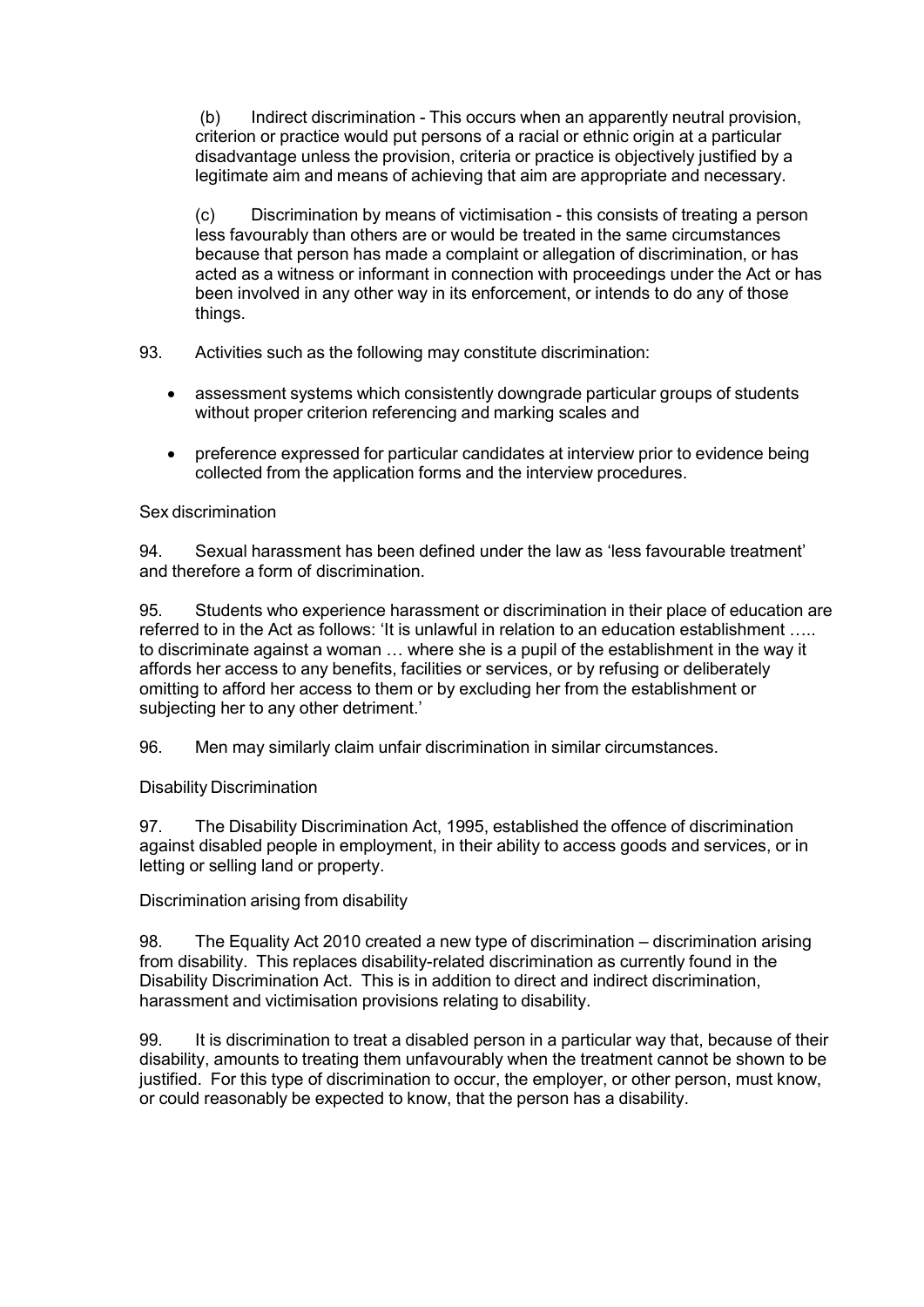(b) Indirect discrimination - This occurs when an apparently neutral provision, criterion or practice would put persons of a racial or ethnic origin at a particular disadvantage unless the provision, criteria or practice is objectively justified by a legitimate aim and means of achieving that aim are appropriate and necessary.

(c) Discrimination by means of victimisation - this consists of treating a person less favourably than others are or would be treated in the same circumstances because that person has made a complaint or allegation of discrimination, or has acted as a witness or informant in connection with proceedings under the Act or has been involved in any other way in its enforcement, or intends to do any of those things.

- 93. Activities such as the following may constitute discrimination:
	- assessment systems which consistently downgrade particular groups of students without proper criterion referencing and marking scales and
	- preference expressed for particular candidates at interview prior to evidence being collected from the application forms and the interview procedures.

## Sex discrimination

94. Sexual harassment has been defined under the law as 'less favourable treatment' and therefore a form of discrimination.

95. Students who experience harassment or discrimination in their place of education are referred to in the Act as follows: 'It is unlawful in relation to an education establishment ….. to discriminate against a woman … where she is a pupil of the establishment in the way it affords her access to any benefits, facilities or services, or by refusing or deliberately omitting to afford her access to them or by excluding her from the establishment or subjecting her to any other detriment.'

96. Men may similarly claim unfair discrimination in similar circumstances.

## Disability Discrimination

97. The Disability Discrimination Act, 1995, established the offence of discrimination against disabled people in employment, in their ability to access goods and services, or in letting or selling land or property.

Discrimination arising from disability

98. The Equality Act 2010 created a new type of discrimination – discrimination arising from disability. This replaces disability-related discrimination as currently found in the Disability Discrimination Act. This is in addition to direct and indirect discrimination, harassment and victimisation provisions relating to disability.

99. It is discrimination to treat a disabled person in a particular way that, because of their disability, amounts to treating them unfavourably when the treatment cannot be shown to be justified. For this type of discrimination to occur, the employer, or other person, must know, or could reasonably be expected to know, that the person has a disability.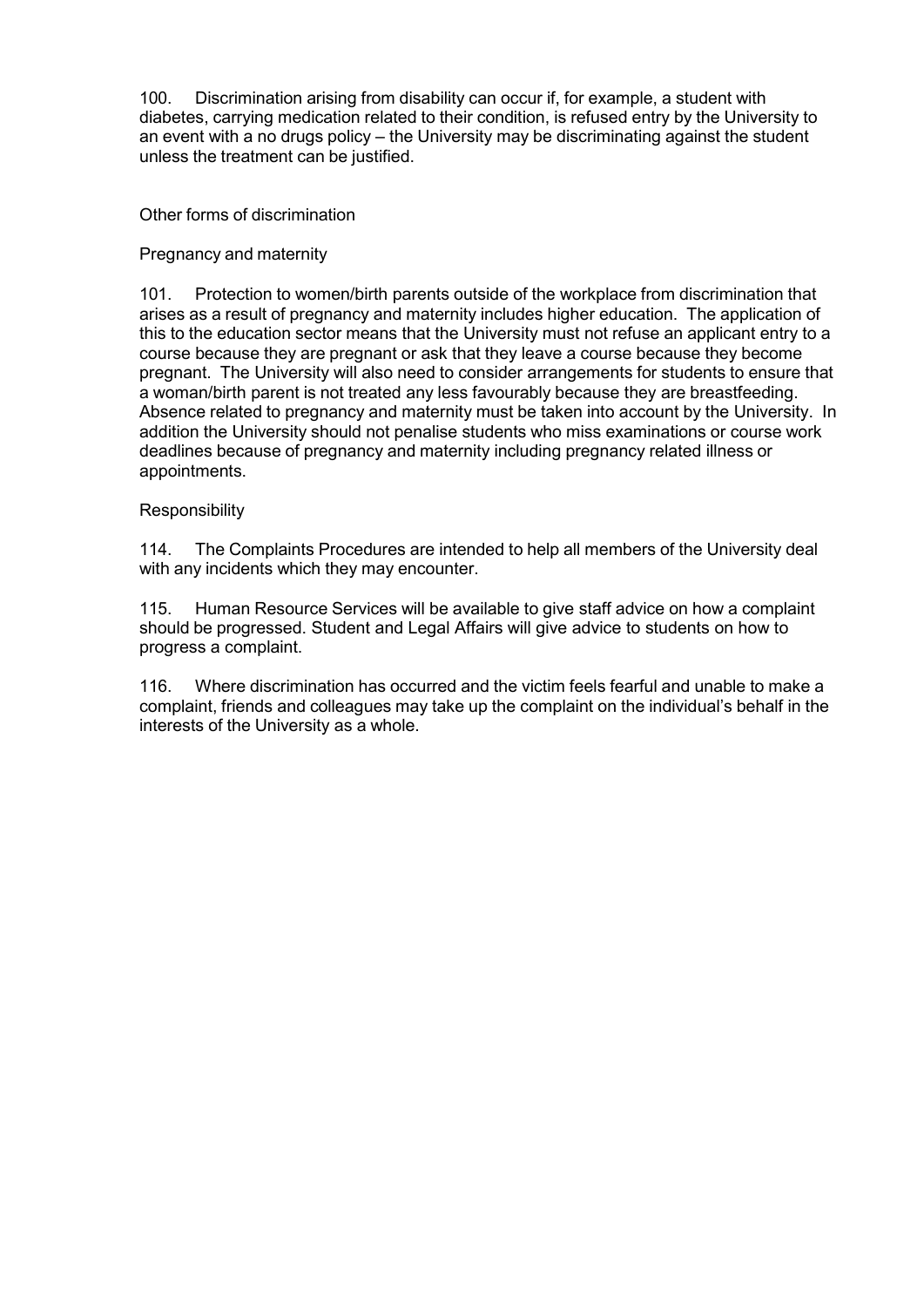100. Discrimination arising from disability can occur if, for example, a student with diabetes, carrying medication related to their condition, is refused entry by the University to an event with a no drugs policy – the University may be discriminating against the student unless the treatment can be justified.

## Other forms of discrimination

## Pregnancy and maternity

101. Protection to women/birth parents outside of the workplace from discrimination that arises as a result of pregnancy and maternity includes higher education. The application of this to the education sector means that the University must not refuse an applicant entry to a course because they are pregnant or ask that they leave a course because they become pregnant. The University will also need to consider arrangements for students to ensure that a woman/birth parent is not treated any less favourably because they are breastfeeding. Absence related to pregnancy and maternity must be taken into account by the University. In addition the University should not penalise students who miss examinations or course work deadlines because of pregnancy and maternity including pregnancy related illness or appointments.

## Responsibility

114. The Complaints Procedures are intended to help all members of the University deal with any incidents which they may encounter.

115. Human Resource Services will be available to give staff advice on how a complaint should be progressed. Student and Legal Affairs will give advice to students on how to progress a complaint.

116. Where discrimination has occurred and the victim feels fearful and unable to make a complaint, friends and colleagues may take up the complaint on the individual's behalf in the interests of the University as a whole.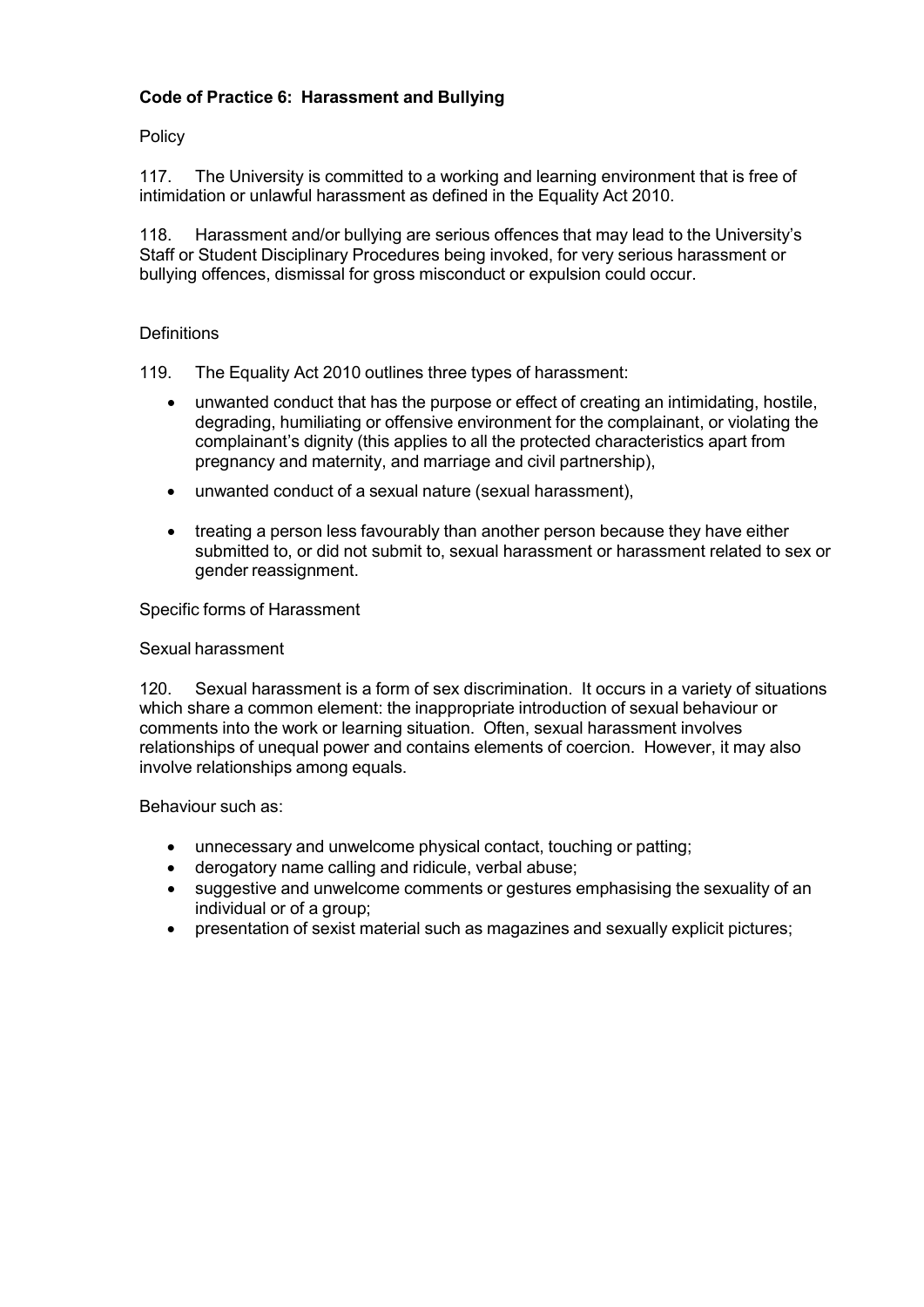# <span id="page-18-0"></span>**Code of Practice 6: Harassment and Bullying**

## **Policy**

117. The University is committed to a working and learning environment that is free of intimidation or unlawful harassment as defined in the Equality Act 2010.

118. Harassment and/or bullying are serious offences that may lead to the University's Staff or Student Disciplinary Procedures being invoked, for very serious harassment or bullying offences, dismissal for gross misconduct or expulsion could occur.

#### **Definitions**

119. The Equality Act 2010 outlines three types of harassment:

- unwanted conduct that has the purpose or effect of creating an intimidating, hostile, degrading, humiliating or offensive environment for the complainant, or violating the complainant's dignity (this applies to all the protected characteristics apart from pregnancy and maternity, and marriage and civil partnership),
- unwanted conduct of a sexual nature (sexual harassment),
- treating a person less favourably than another person because they have either submitted to, or did not submit to, sexual harassment or harassment related to sex or gender reassignment.

#### Specific forms of Harassment

#### Sexual harassment

120. Sexual harassment is a form of sex discrimination. It occurs in a variety of situations which share a common element: the inappropriate introduction of sexual behaviour or comments into the work or learning situation. Often, sexual harassment involves relationships of unequal power and contains elements of coercion. However, it may also involve relationships among equals.

Behaviour such as:

- unnecessary and unwelcome physical contact, touching or patting;
- derogatory name calling and ridicule, verbal abuse;
- suggestive and unwelcome comments or gestures emphasising the sexuality of an individual or of a group;
- presentation of sexist material such as magazines and sexually explicit pictures;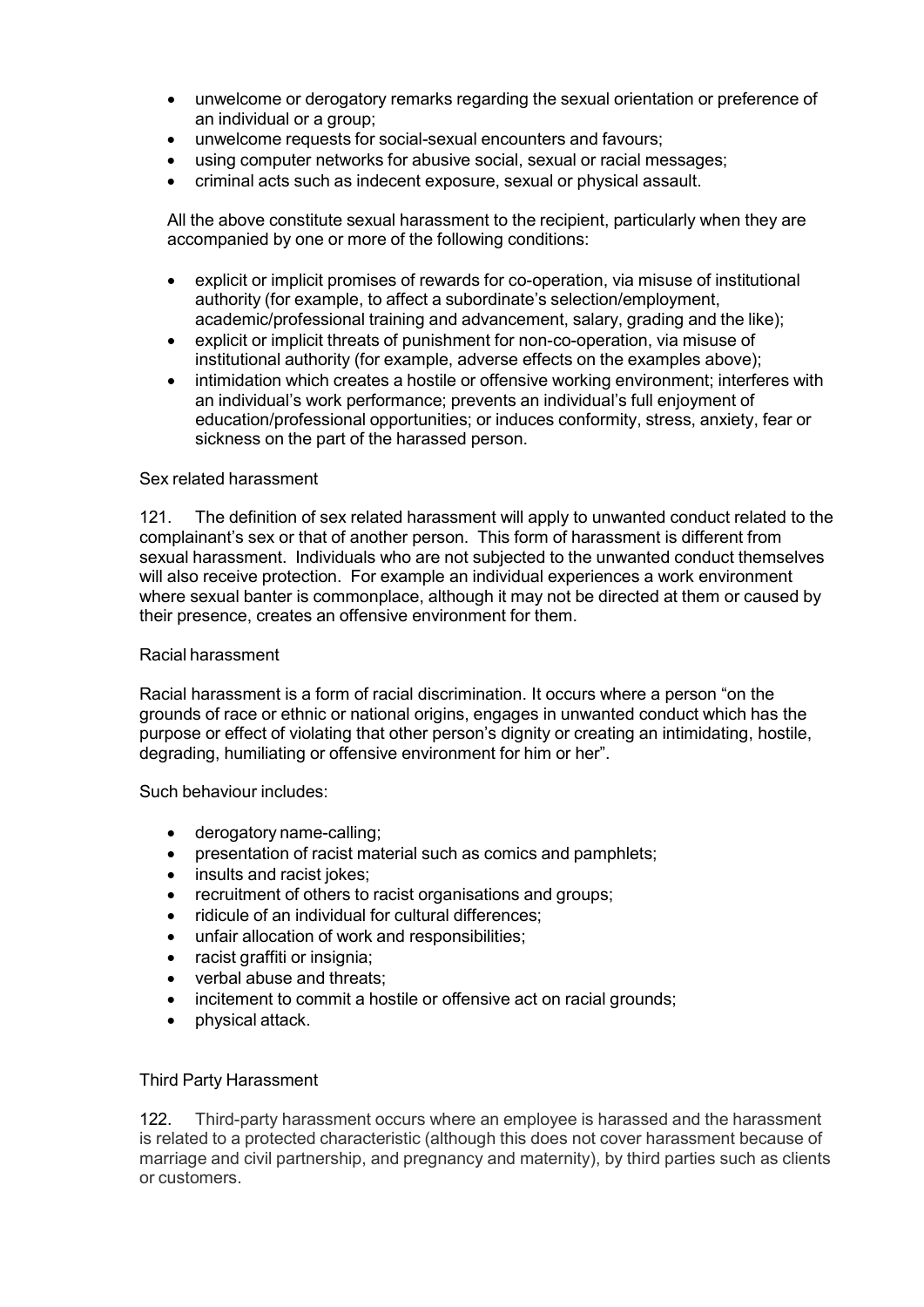- unwelcome or derogatory remarks regarding the sexual orientation or preference of an individual or a group;
- unwelcome requests for social-sexual encounters and favours;
- using computer networks for abusive social, sexual or racial messages;
- criminal acts such as indecent exposure, sexual or physical assault.

All the above constitute sexual harassment to the recipient, particularly when they are accompanied by one or more of the following conditions:

- explicit or implicit promises of rewards for co-operation, via misuse of institutional authority (for example, to affect a subordinate's selection/employment, academic/professional training and advancement, salary, grading and the like);
- explicit or implicit threats of punishment for non-co-operation, via misuse of institutional authority (for example, adverse effects on the examples above);
- intimidation which creates a hostile or offensive working environment; interferes with an individual's work performance; prevents an individual's full enjoyment of education/professional opportunities; or induces conformity, stress, anxiety, fear or sickness on the part of the harassed person.

#### Sex related harassment

121. The definition of sex related harassment will apply to unwanted conduct related to the complainant's sex or that of another person. This form of harassment is different from sexual harassment. Individuals who are not subjected to the unwanted conduct themselves will also receive protection. For example an individual experiences a work environment where sexual banter is commonplace, although it may not be directed at them or caused by their presence, creates an offensive environment for them.

#### Racial harassment

Racial harassment is a form of racial discrimination. It occurs where a person "on the grounds of race or ethnic or national origins, engages in unwanted conduct which has the purpose or effect of violating that other person's dignity or creating an intimidating, hostile, degrading, humiliating or offensive environment for him or her".

Such behaviour includes:

- derogatory name-calling;
- presentation of racist material such as comics and pamphlets;
- insults and racist jokes;
- recruitment of others to racist organisations and groups;
- ridicule of an individual for cultural differences;
- unfair allocation of work and responsibilities;
- racist graffiti or insignia;
- verbal abuse and threats:
- incitement to commit a hostile or offensive act on racial grounds;
- physical attack.

## Third Party Harassment

122. Third-party harassment occurs where an employee is harassed and the harassment is related to a protected characteristic (although this does not cover harassment because of marriage and civil partnership, and pregnancy and maternity), by third parties such as clients or customers.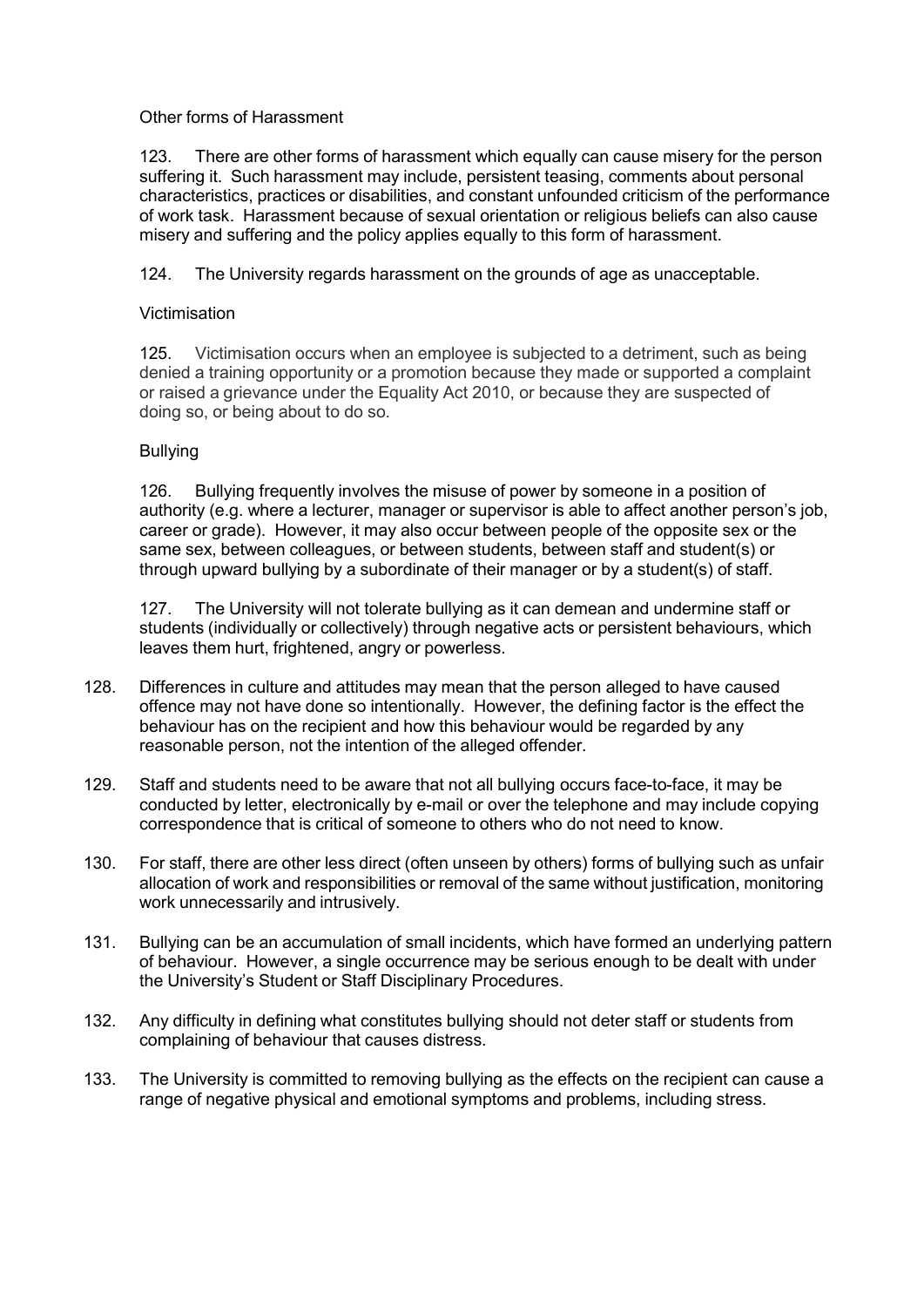## Other forms of Harassment

123. There are other forms of harassment which equally can cause misery for the person suffering it. Such harassment may include, persistent teasing, comments about personal characteristics, practices or disabilities, and constant unfounded criticism of the performance of work task. Harassment because of sexual orientation or religious beliefs can also cause misery and suffering and the policy applies equally to this form of harassment.

124. The University regards harassment on the grounds of age as unacceptable.

## Victimisation

125. Victimisation occurs when an employee is subjected to a detriment, such as being denied a training opportunity or a promotion because they made or supported a complaint or raised a grievance under the Equality Act 2010, or because they are suspected of doing so, or being about to do so.

## Bullying

126. Bullying frequently involves the misuse of power by someone in a position of authority (e.g. where a lecturer, manager or supervisor is able to affect another person's job, career or grade). However, it may also occur between people of the opposite sex or the same sex, between colleagues, or between students, between staff and student(s) or through upward bullying by a subordinate of their manager or by a student(s) of staff.

127. The University will not tolerate bullying as it can demean and undermine staff or students (individually or collectively) through negative acts or persistent behaviours, which leaves them hurt, frightened, angry or powerless.

- 128. Differences in culture and attitudes may mean that the person alleged to have caused offence may not have done so intentionally. However, the defining factor is the effect the behaviour has on the recipient and how this behaviour would be regarded by any reasonable person, not the intention of the alleged offender.
- 129. Staff and students need to be aware that not all bullying occurs face-to-face, it may be conducted by letter, electronically by e-mail or over the telephone and may include copying correspondence that is critical of someone to others who do not need to know.
- 130. For staff, there are other less direct (often unseen by others) forms of bullying such as unfair allocation of work and responsibilities or removal of the same without justification, monitoring work unnecessarily and intrusively.
- 131. Bullying can be an accumulation of small incidents, which have formed an underlying pattern of behaviour. However, a single occurrence may be serious enough to be dealt with under the University's Student or Staff Disciplinary Procedures.
- 132. Any difficulty in defining what constitutes bullying should not deter staff or students from complaining of behaviour that causes distress.
- 133. The University is committed to removing bullying as the effects on the recipient can cause a range of negative physical and emotional symptoms and problems, including stress.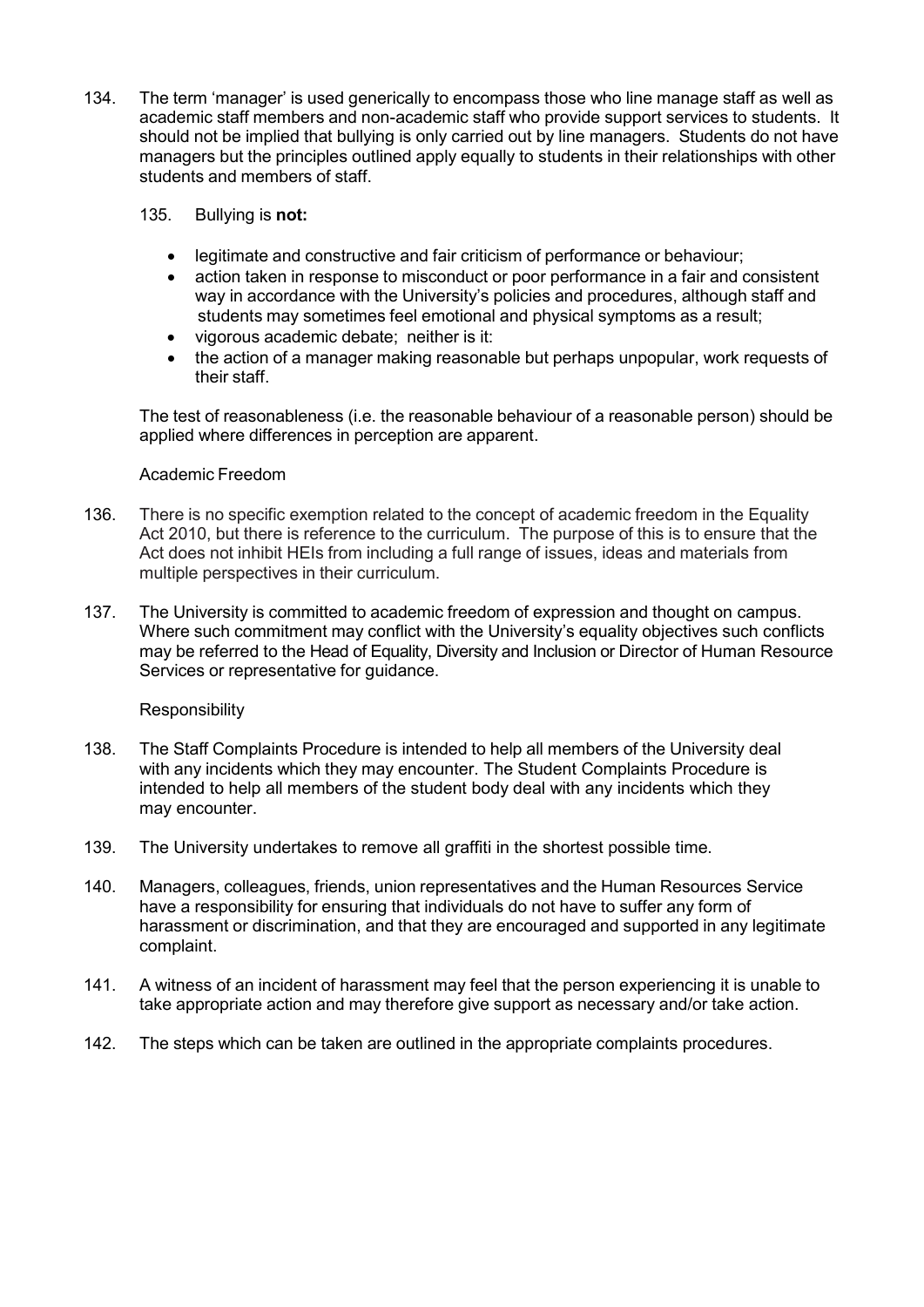134. The term 'manager' is used generically to encompass those who line manage staff as well as academic staff members and non-academic staff who provide support services to students. It should not be implied that bullying is only carried out by line managers. Students do not have managers but the principles outlined apply equally to students in their relationships with other students and members of staff.

## 135. Bullying is **not:**

- legitimate and constructive and fair criticism of performance or behaviour;
- action taken in response to misconduct or poor performance in a fair and consistent way in accordance with the University's policies and procedures, although staff and students may sometimes feel emotional and physical symptoms as a result;
- vigorous academic debate; neither is it:
- the action of a manager making reasonable but perhaps unpopular, work requests of their staff.

The test of reasonableness (i.e. the reasonable behaviour of a reasonable person) should be applied where differences in perception are apparent.

## Academic Freedom

- 136. There is no specific exemption related to the concept of academic freedom in the Equality Act 2010, but there is reference to the curriculum. The purpose of this is to ensure that the Act does not inhibit HEIs from including a full range of issues, ideas and materials from multiple perspectives in their curriculum.
- 137. The University is committed to academic freedom of expression and thought on campus. Where such commitment may conflict with the University's equality objectives such conflicts may be referred to the Head of Equality, Diversity and Inclusion or Director of Human Resource Services or representative for guidance.

Responsibility

- 138. The Staff Complaints Procedure is intended to help all members of the University deal with any incidents which they may encounter. The Student Complaints Procedure is intended to help all members of the student body deal with any incidents which they may encounter.
- 139. The University undertakes to remove all graffiti in the shortest possible time.
- 140. Managers, colleagues, friends, union representatives and the Human Resources Service have a responsibility for ensuring that individuals do not have to suffer any form of harassment or discrimination, and that they are encouraged and supported in any legitimate complaint.
- 141. A witness of an incident of harassment may feel that the person experiencing it is unable to take appropriate action and may therefore give support as necessary and/or take action.
- 142. The steps which can be taken are outlined in the appropriate complaints procedures.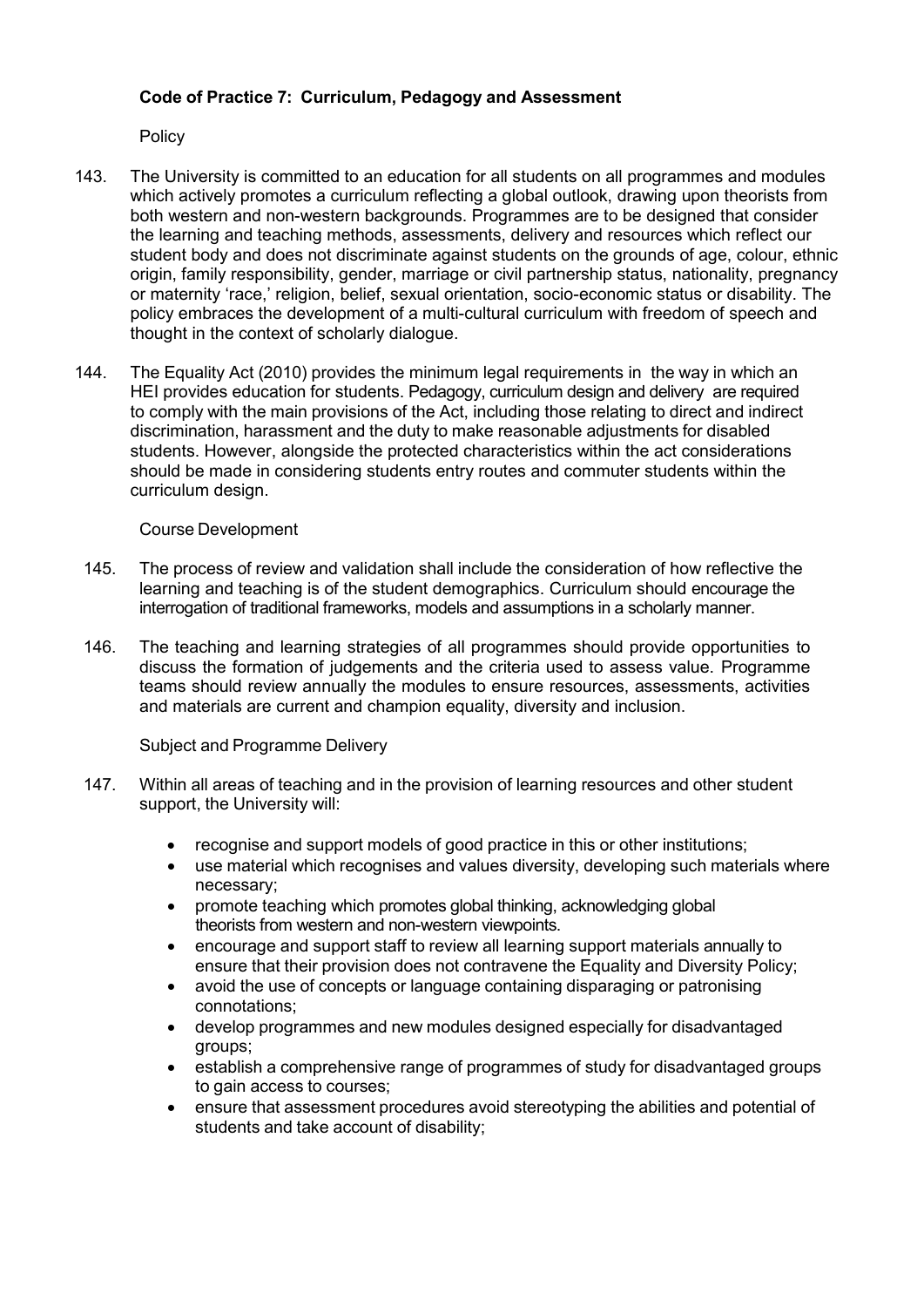# <span id="page-22-0"></span>**Code of Practice 7: Curriculum, Pedagogy and Assessment**

**Policy** 

- 143. The University is committed to an education for all students on all programmes and modules which actively promotes a curriculum reflecting a global outlook, drawing upon theorists from both western and non-western backgrounds. Programmes are to be designed that consider the learning and teaching methods, assessments, delivery and resources which reflect our student body and does not discriminate against students on the grounds of age, colour, ethnic origin, family responsibility, gender, marriage or civil partnership status, nationality, pregnancy or maternity 'race,' religion, belief, sexual orientation, socio-economic status or disability. The policy embraces the development of a multi-cultural curriculum with freedom of speech and thought in the context of scholarly dialogue.
- 144. The Equality Act (2010) provides the minimum legal requirements in the way in which an HEI provides education for students. Pedagogy, curriculum design and delivery are required to comply with the main provisions of the Act, including those relating to direct and indirect discrimination, harassment and the duty to make reasonable adjustments for disabled students. However, alongside the protected characteristics within the act considerations should be made in considering students entry routes and commuter students within the curriculum design.

#### Course Development

- 145. The process of review and validation shall include the consideration of how reflective the learning and teaching is of the student demographics. Curriculum should encourage the interrogation of traditional frameworks, models and assumptions in a scholarly manner.
- 146. The teaching and learning strategies of all programmes should provide opportunities to discuss the formation of judgements and the criteria used to assess value. Programme teams should review annually the modules to ensure resources, assessments, activities and materials are current and champion equality, diversity and inclusion.

## Subject and Programme Delivery

- 147. Within all areas of teaching and in the provision of learning resources and other student support, the University will:
	- recognise and support models of good practice in this or other institutions;
	- use material which recognises and values diversity, developing such materials where necessary;
	- promote teaching which promotes global thinking, acknowledging global theorists from western and non-western viewpoints.
	- encourage and support staff to review all learning support materials annually to ensure that their provision does not contravene the Equality and Diversity Policy;
	- avoid the use of concepts or language containing disparaging or patronising connotations;
	- develop programmes and new modules designed especially for disadvantaged groups;
	- establish a comprehensive range of programmes of study for disadvantaged groups to gain access to courses;
	- ensure that assessment procedures avoid stereotyping the abilities and potential of students and take account of disability;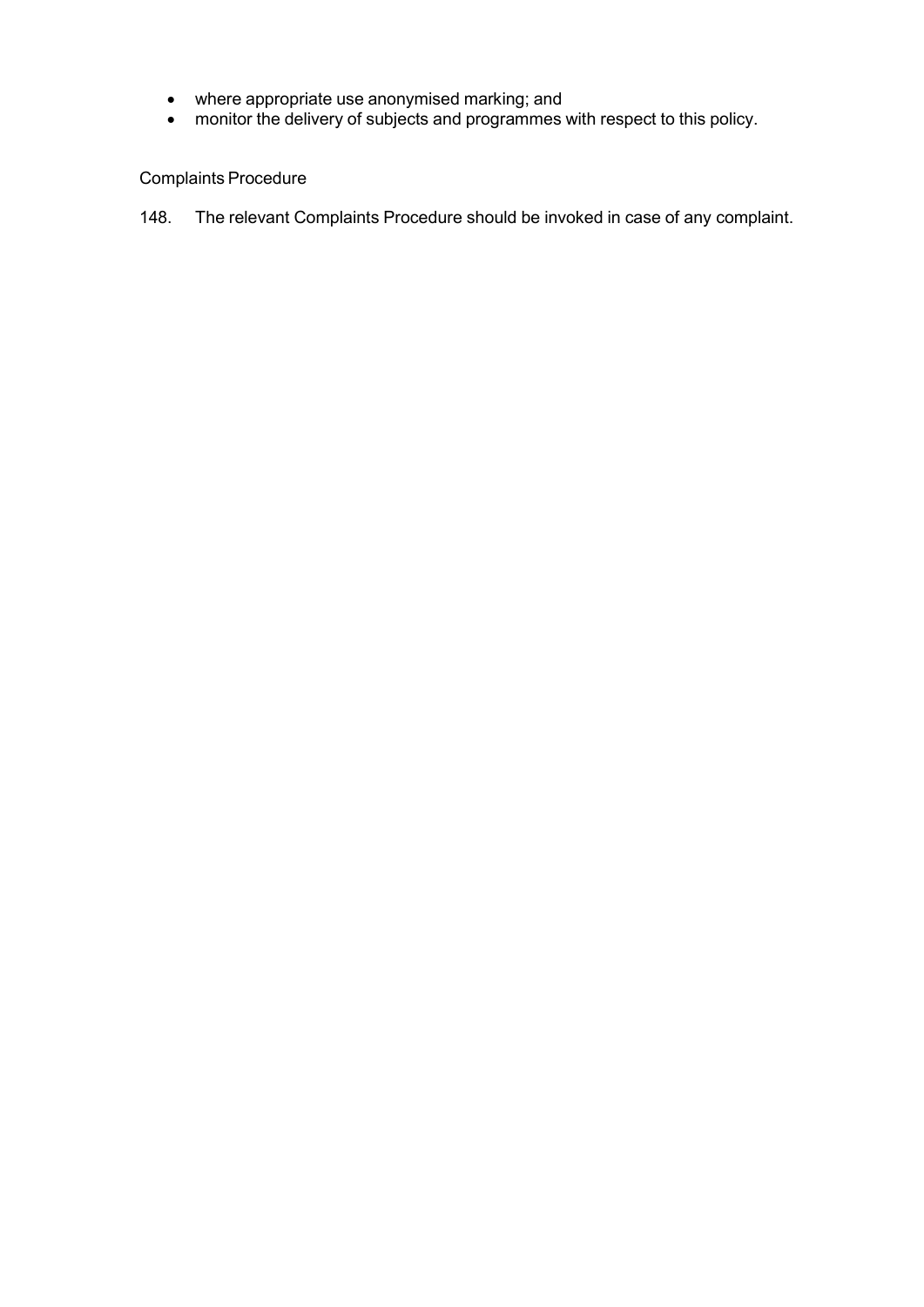- where appropriate use anonymised marking; and
- monitor the delivery of subjects and programmes with respect to this policy.

# Complaints Procedure

148. The relevant Complaints Procedure should be invoked in case of any complaint.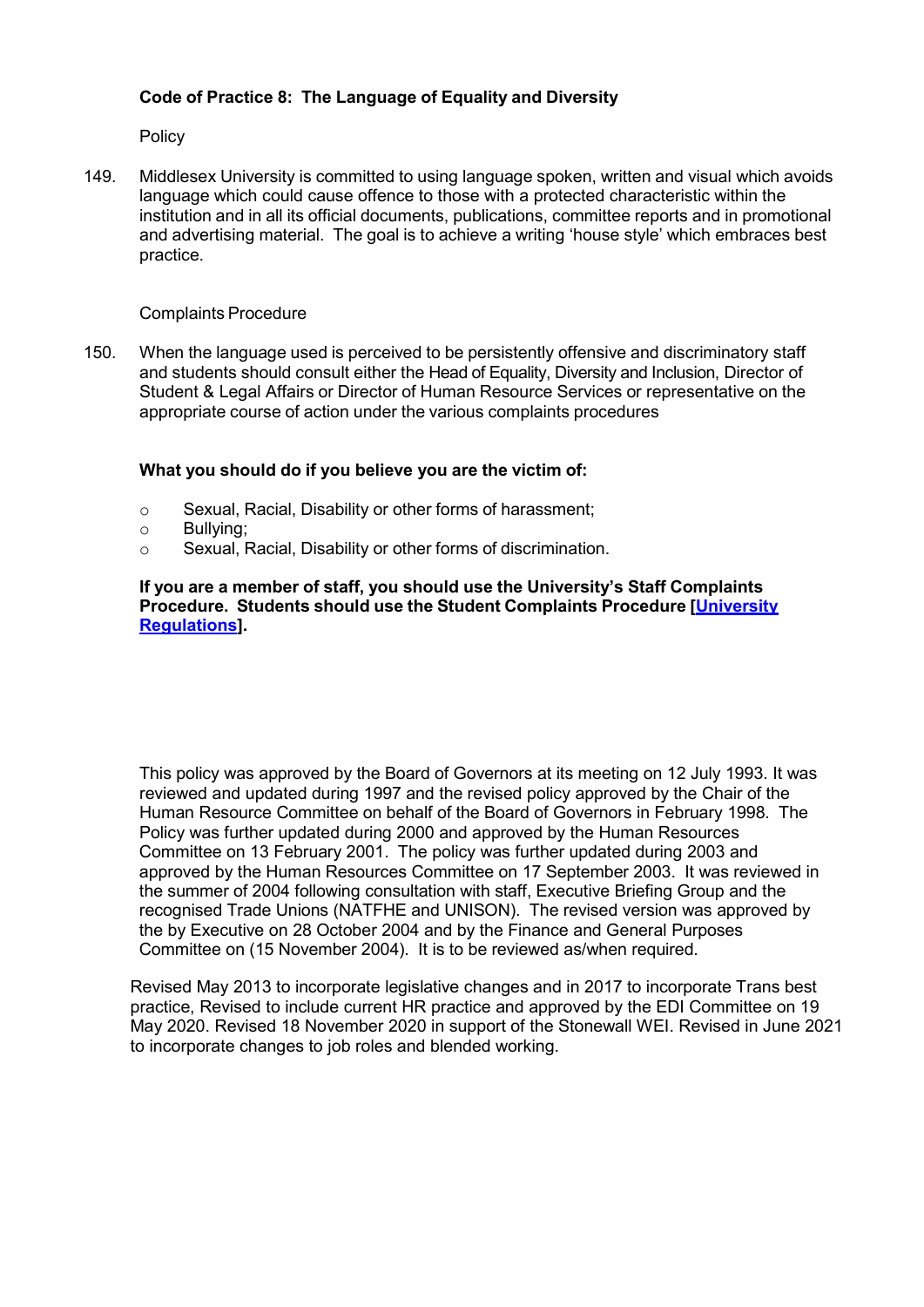# <span id="page-24-0"></span>**Code of Practice 8: The Language of Equality and Diversity**

**Policy** 

149. Middlesex University is committed to using language spoken, written and visual which avoids language which could cause offence to those with a protected characteristic within the institution and in all its official documents, publications, committee reports and in promotional and advertising material. The goal is to achieve a writing 'house style' which embraces best practice.

#### Complaints Procedure

150. When the language used is perceived to be persistently offensive and discriminatory staff and students should consult either the Head of Equality, Diversity and Inclusion, Director of Student & Legal Affairs or Director of Human Resource Services or representative on the appropriate course of action under the various complaints procedures

## **What you should do if you believe you are the victim of:**

- o Sexual, Racial, Disability or other forms of harassment;<br>○ Bullying;
- o Bullying;<br>o Sexual, F
- Sexual, Racial, Disability or other forms of discrimination.

#### **If you are a member of staff, you should use the University's Staff Complaints Procedure. Students should use the Student Complaints Procedure [\[University](http://www.mdx.ac.uk/aboutus/Strategy/regulations/studentcomplaints.aspx) [Regulations\].](http://www.mdx.ac.uk/aboutus/Strategy/regulations/studentcomplaints.aspx)**

This policy was approved by the Board of Governors at its meeting on 12 July 1993. It was reviewed and updated during 1997 and the revised policy approved by the Chair of the Human Resource Committee on behalf of the Board of Governors in February 1998. The Policy was further updated during 2000 and approved by the Human Resources Committee on 13 February 2001. The policy was further updated during 2003 and approved by the Human Resources Committee on 17 September 2003. It was reviewed in the summer of 2004 following consultation with staff, Executive Briefing Group and the recognised Trade Unions (NATFHE and UNISON). The revised version was approved by the by Executive on 28 October 2004 and by the Finance and General Purposes Committee on (15 November 2004). It is to be reviewed as/when required.

Revised May 2013 to incorporate legislative changes and in 2017 to incorporate Trans best practice, Revised to include current HR practice and approved by the EDI Committee on 19 May 2020. Revised 18 November 2020 in support of the Stonewall WEI. Revised in June 2021 to incorporate changes to job roles and blended working.